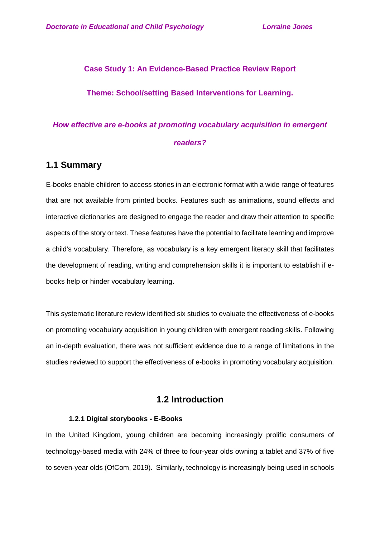### **Case Study 1: An Evidence-Based Practice Review Report**

### **Theme: School/setting Based Interventions for Learning.**

# *How effective are e-books at promoting vocabulary acquisition in emergent readers?*

## **1.1 Summary**

E-books enable children to access stories in an electronic format with a wide range of features that are not available from printed books. Features such as animations, sound effects and interactive dictionaries are designed to engage the reader and draw their attention to specific aspects of the story or text. These features have the potential to facilitate learning and improve a child's vocabulary. Therefore, as vocabulary is a key emergent literacy skill that facilitates the development of reading, writing and comprehension skills it is important to establish if ebooks help or hinder vocabulary learning.

This systematic literature review identified six studies to evaluate the effectiveness of e-books on promoting vocabulary acquisition in young children with emergent reading skills. Following an in-depth evaluation, there was not sufficient evidence due to a range of limitations in the studies reviewed to support the effectiveness of e-books in promoting vocabulary acquisition.

## **1.2 Introduction**

### **1.2.1 Digital storybooks - E-Books**

In the United Kingdom, young children are becoming increasingly prolific consumers of technology-based media with 24% of three to four-year olds owning a tablet and 37% of five to seven-year olds (OfCom, 2019). Similarly, technology is increasingly being used in schools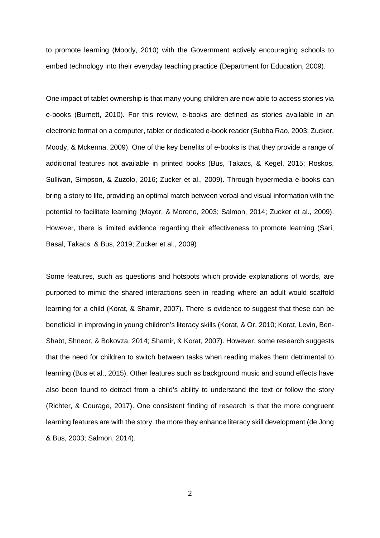to promote learning (Moody, 2010) with the Government actively encouraging schools to embed technology into their everyday teaching practice (Department for Education, 2009).

One impact of tablet ownership is that many young children are now able to access stories via e-books (Burnett, 2010). For this review, e-books are defined as stories available in an electronic format on a computer, tablet or dedicated e-book reader (Subba Rao, 2003; Zucker, Moody, & Mckenna, 2009). One of the key benefits of e-books is that they provide a range of additional features not available in printed books (Bus, Takacs, & Kegel, 2015; Roskos, Sullivan, Simpson, & Zuzolo, 2016; Zucker et al., 2009). Through hypermedia e-books can bring a story to life, providing an optimal match between verbal and visual information with the potential to facilitate learning (Mayer, & Moreno, 2003; Salmon, 2014; Zucker et al., 2009). However, there is limited evidence regarding their effectiveness to promote learning (Sari, Basal, Takacs, & Bus, 2019; Zucker et al., 2009)

Some features, such as questions and hotspots which provide explanations of words, are purported to mimic the shared interactions seen in reading where an adult would scaffold learning for a child (Korat, & Shamir, 2007). There is evidence to suggest that these can be beneficial in improving in young children's literacy skills (Korat, & Or, 2010; Korat, Levin, Ben-Shabt, Shneor, & Bokovza, 2014; Shamir, & Korat, 2007). However, some research suggests that the need for children to switch between tasks when reading makes them detrimental to learning (Bus et al., 2015). Other features such as background music and sound effects have also been found to detract from a child's ability to understand the text or follow the story (Richter, & Courage, 2017). One consistent finding of research is that the more congruent learning features are with the story, the more they enhance literacy skill development (de Jong & Bus, 2003; Salmon, 2014).

2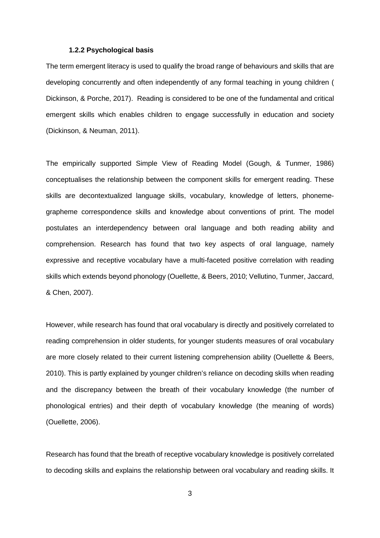#### **1.2.2 Psychological basis**

The term emergent literacy is used to qualify the broad range of behaviours and skills that are developing concurrently and often independently of any formal teaching in young children ( Dickinson, & Porche, 2017). Reading is considered to be one of the fundamental and critical emergent skills which enables children to engage successfully in education and society (Dickinson, & Neuman, 2011).

The empirically supported Simple View of Reading Model (Gough, & Tunmer, 1986) conceptualises the relationship between the component skills for emergent reading. These skills are decontextualized language skills, vocabulary, knowledge of letters, phonemegrapheme correspondence skills and knowledge about conventions of print. The model postulates an interdependency between oral language and both reading ability and comprehension. Research has found that two key aspects of oral language, namely expressive and receptive vocabulary have a multi-faceted positive correlation with reading skills which extends beyond phonology (Ouellette, & Beers, 2010; Vellutino, Tunmer, Jaccard, & Chen, 2007).

However, while research has found that oral vocabulary is directly and positively correlated to reading comprehension in older students, for younger students measures of oral vocabulary are more closely related to their current listening comprehension ability (Ouellette & Beers, 2010). This is partly explained by younger children's reliance on decoding skills when reading and the discrepancy between the breath of their vocabulary knowledge (the number of phonological entries) and their depth of vocabulary knowledge (the meaning of words) (Ouellette, 2006).

Research has found that the breath of receptive vocabulary knowledge is positively correlated to decoding skills and explains the relationship between oral vocabulary and reading skills. It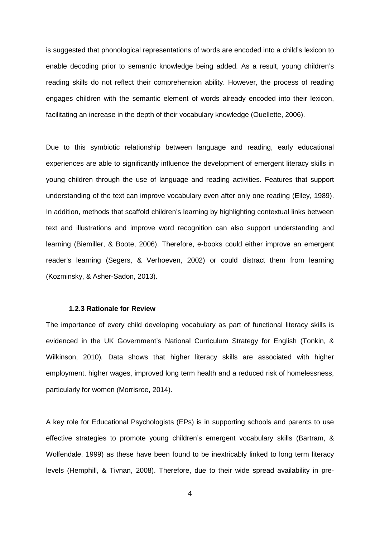is suggested that phonological representations of words are encoded into a child's lexicon to enable decoding prior to semantic knowledge being added. As a result, young children's reading skills do not reflect their comprehension ability. However, the process of reading engages children with the semantic element of words already encoded into their lexicon, facilitating an increase in the depth of their vocabulary knowledge (Ouellette, 2006).

Due to this symbiotic relationship between language and reading, early educational experiences are able to significantly influence the development of emergent literacy skills in young children through the use of language and reading activities. Features that support understanding of the text can improve vocabulary even after only one reading (Elley, 1989). In addition, methods that scaffold children's learning by highlighting contextual links between text and illustrations and improve word recognition can also support understanding and learning (Biemiller, & Boote, 2006). Therefore, e-books could either improve an emergent reader's learning (Segers, & Verhoeven, 2002) or could distract them from learning (Kozminsky, & Asher-Sadon, 2013).

#### **1.2.3 Rationale for Review**

The importance of every child developing vocabulary as part of functional literacy skills is evidenced in the UK Government's National Curriculum Strategy for English (Tonkin, & Wilkinson, 2010)*.* Data shows that higher literacy skills are associated with higher employment, higher wages, improved long term health and a reduced risk of homelessness, particularly for women (Morrisroe, 2014).

A key role for Educational Psychologists (EPs) is in supporting schools and parents to use effective strategies to promote young children's emergent vocabulary skills (Bartram, & Wolfendale, 1999) as these have been found to be inextricably linked to long term literacy levels (Hemphill, & Tivnan, 2008). Therefore, due to their wide spread availability in pre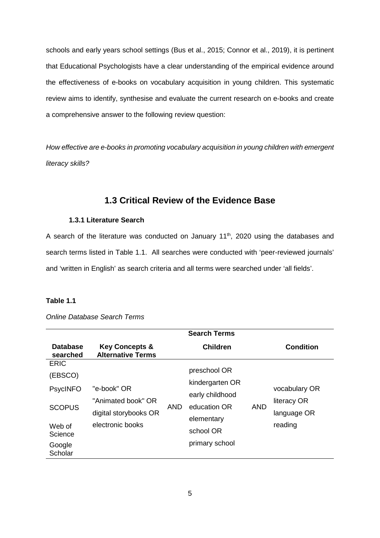schools and early years school settings (Bus et al., 2015; Connor et al., 2019), it is pertinent that Educational Psychologists have a clear understanding of the empirical evidence around the effectiveness of e-books on vocabulary acquisition in young children. This systematic review aims to identify, synthesise and evaluate the current research on e-books and create a comprehensive answer to the following review question:

*How effective are e-books in promoting vocabulary acquisition in young children with emergent literacy skills?*

## **1.3 Critical Review of the Evidence Base**

### **1.3.1 Literature Search**

A search of the literature was conducted on January  $11<sup>th</sup>$ , 2020 using the databases and search terms listed in Table 1.1. All searches were conducted with 'peer-reviewed journals' and 'written in English' as search criteria and all terms were searched under 'all fields'.

### **Table 1.1**

|                                  |                                                            |            | <b>Search Terms</b>                                              |            |                                             |
|----------------------------------|------------------------------------------------------------|------------|------------------------------------------------------------------|------------|---------------------------------------------|
| <b>Database</b><br>searched      | <b>Key Concepts &amp;</b><br><b>Alternative Terms</b>      |            | <b>Children</b>                                                  |            | <b>Condition</b>                            |
| <b>ERIC</b>                      |                                                            |            |                                                                  |            |                                             |
| (EBSCO)                          |                                                            |            | preschool OR                                                     |            |                                             |
| <b>PsycINFO</b><br><b>SCOPUS</b> | "e-book" OR<br>"Animated book" OR<br>digital storybooks OR | <b>AND</b> | kindergarten OR<br>early childhood<br>education OR<br>elementary | <b>AND</b> | vocabulary OR<br>literacy OR<br>language OR |
| Web of<br>Science                | electronic books                                           |            | school OR                                                        |            | reading                                     |
| Google<br>Scholar                |                                                            |            | primary school                                                   |            |                                             |

*Online Database Search Terms*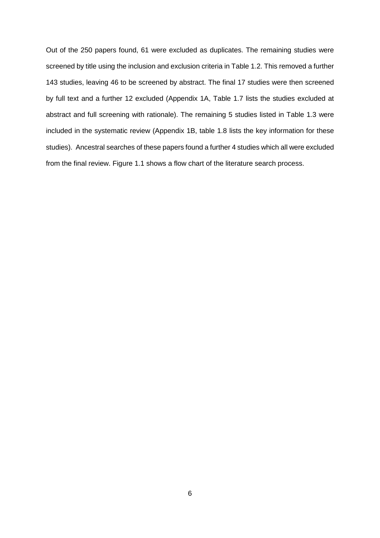Out of the 250 papers found, 61 were excluded as duplicates. The remaining studies were screened by title using the inclusion and exclusion criteria in Table 1.2. This removed a further 143 studies, leaving 46 to be screened by abstract. The final 17 studies were then screened by full text and a further 12 excluded (Appendix 1A, Table 1.7 lists the studies excluded at abstract and full screening with rationale). The remaining 5 studies listed in Table 1.3 were included in the systematic review (Appendix 1B, table 1.8 lists the key information for these studies). Ancestral searches of these papers found a further 4 studies which all were excluded from the final review. Figure 1.1 shows a flow chart of the literature search process.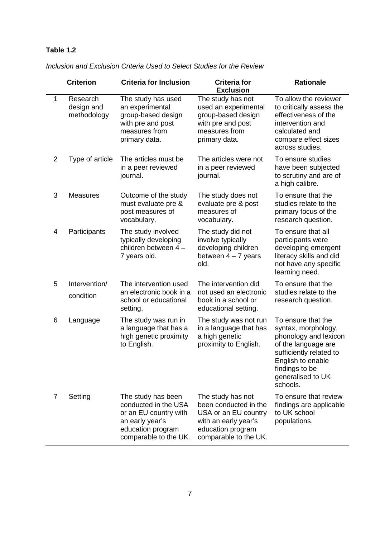## **Table 1.2**

|                | <b>Criterion</b>                      | <b>Criteria for Inclusion</b>                                                                                                        | <b>Criteria for</b><br><b>Exclusion</b>                                                                                                  | <b>Rationale</b>                                                                                                                                                                             |
|----------------|---------------------------------------|--------------------------------------------------------------------------------------------------------------------------------------|------------------------------------------------------------------------------------------------------------------------------------------|----------------------------------------------------------------------------------------------------------------------------------------------------------------------------------------------|
| 1              | Research<br>design and<br>methodology | The study has used<br>an experimental<br>group-based design<br>with pre and post<br>measures from<br>primary data.                   | The study has not<br>used an experimental<br>group-based design<br>with pre and post<br>measures from<br>primary data.                   | To allow the reviewer<br>to critically assess the<br>effectiveness of the<br>intervention and<br>calculated and<br>compare effect sizes<br>across studies.                                   |
| 2              | Type of article                       | The articles must be<br>in a peer reviewed<br>journal.                                                                               | The articles were not<br>in a peer reviewed<br>journal.                                                                                  | To ensure studies<br>have been subjected<br>to scrutiny and are of<br>a high calibre.                                                                                                        |
| $\mathfrak{S}$ | <b>Measures</b>                       | Outcome of the study<br>must evaluate pre &<br>post measures of<br>vocabulary.                                                       | The study does not<br>evaluate pre & post<br>measures of<br>vocabulary.                                                                  | To ensure that the<br>studies relate to the<br>primary focus of the<br>research question.                                                                                                    |
| 4              | Participants                          | The study involved<br>typically developing<br>children between 4-<br>7 years old.                                                    | The study did not<br>involve typically<br>developing children<br>between $4 - 7$ years<br>old.                                           | To ensure that all<br>participants were<br>developing emergent<br>literacy skills and did<br>not have any specific<br>learning need.                                                         |
| 5              | Intervention/<br>condition            | The intervention used<br>an electronic book in a<br>school or educational<br>setting.                                                | The intervention did<br>not used an electronic<br>book in a school or<br>educational setting.                                            | To ensure that the<br>studies relate to the<br>research question.                                                                                                                            |
| 6              | Language                              | The study was run in<br>a language that has a<br>high genetic proximity<br>to English.                                               | The study was not run<br>in a language that has<br>a high genetic<br>proximity to English.                                               | To ensure that the<br>syntax, morphology,<br>phonology and lexicon<br>of the language are<br>sufficiently related to<br>English to enable<br>findings to be<br>generalised to UK<br>schools. |
| $\overline{7}$ | Setting                               | The study has been<br>conducted in the USA<br>or an EU country with<br>an early year's<br>education program<br>comparable to the UK. | The study has not<br>been conducted in the<br>USA or an EU country<br>with an early year's<br>education program<br>comparable to the UK. | To ensure that review<br>findings are applicable<br>to UK school<br>populations.                                                                                                             |

*Inclusion and Exclusion Criteria Used to Select Studies for the Review*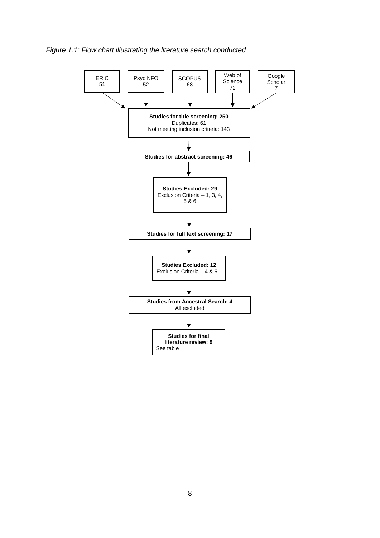*Figure 1.1: Flow chart illustrating the literature search conducted*

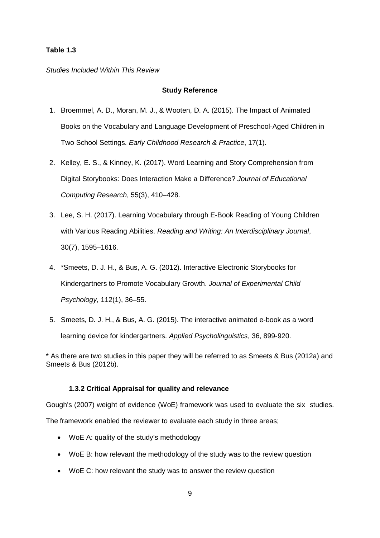### **Table 1.3**

*Studies Included Within This Review*

### **Study Reference**

- 1. Broemmel, A. D., Moran, M. J., & Wooten, D. A. (2015). The Impact of Animated Books on the Vocabulary and Language Development of Preschool-Aged Children in Two School Settings. *Early Childhood Research & Practice*, 17(1).
- 2. Kelley, E. S., & Kinney, K. (2017). Word Learning and Story Comprehension from Digital Storybooks: Does Interaction Make a Difference? *Journal of Educational Computing Research*, 55(3), 410–428.
- 3. Lee, S. H. (2017). Learning Vocabulary through E-Book Reading of Young Children with Various Reading Abilities. *Reading and Writing: An Interdisciplinary Journal*, 30(7), 1595–1616.
- 4. \*Smeets, D. J. H., & Bus, A. G. (2012). Interactive Electronic Storybooks for Kindergartners to Promote Vocabulary Growth. *Journal of Experimental Child Psychology*, 112(1), 36–55.
- 5. Smeets, D. J. H., & Bus, A. G. (2015). The interactive animated e-book as a word learning device for kindergartners. *Applied Psycholinguistics*, 36, 899-920.

### **1.3.2 Critical Appraisal for quality and relevance**

Gough's (2007) weight of evidence (WoE) framework was used to evaluate the six studies.

The framework enabled the reviewer to evaluate each study in three areas;

- WoE A: quality of the study's methodology
- WoE B: how relevant the methodology of the study was to the review question
- WoE C: how relevant the study was to answer the review question

<sup>\*</sup> As there are two studies in this paper they will be referred to as Smeets & Bus (2012a) and Smeets & Bus (2012b).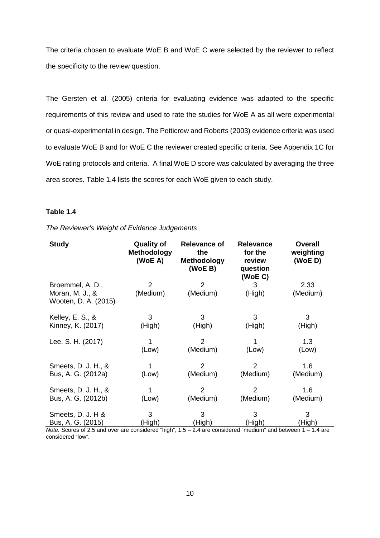The criteria chosen to evaluate WoE B and WoE C were selected by the reviewer to reflect the specificity to the review question.

The Gersten et al. (2005) criteria for evaluating evidence was adapted to the specific requirements of this review and used to rate the studies for WoE A as all were experimental or quasi-experimental in design. The Petticrew and Roberts (2003) evidence criteria was used to evaluate WoE B and for WoE C the reviewer created specific criteria. See Appendix 1C for WoE rating protocols and criteria. A final WoE D score was calculated by averaging the three area scores. Table 1.4 lists the scores for each WoE given to each study.

### **Table 1.4**

| <b>Study</b>                                                                                    | <b>Quality of</b><br><b>Methodology</b><br>(WoE A) | <b>Relevance of</b><br>the<br><b>Methodology</b><br>(WoE B) | <b>Relevance</b><br>for the<br>review<br>question<br>(WoE C)     | <b>Overall</b><br>weighting<br>(WoE D) |
|-------------------------------------------------------------------------------------------------|----------------------------------------------------|-------------------------------------------------------------|------------------------------------------------------------------|----------------------------------------|
| Broemmel, A. D.,<br>Moran, M. J., &<br>Wooten, D. A. (2015)                                     | $\overline{2}$<br>(Medium)                         | $\overline{2}$<br>(Medium)                                  | 3<br>(High)                                                      | 2.33<br>(Medium)                       |
| Kelley, E. S., &                                                                                | 3                                                  | 3                                                           | 3                                                                | 3                                      |
| Kinney, K. (2017)                                                                               | (High)                                             | (High)                                                      | (High)                                                           | (High)                                 |
| Lee, S. H. (2017)                                                                               | 1                                                  | $\overline{2}$                                              | 1                                                                | 1.3                                    |
|                                                                                                 | (Low)                                              | (Medium)                                                    | (Low)                                                            | (Low)                                  |
| Smeets, D. J. H., &                                                                             | (Low)                                              | $\overline{2}$                                              | $\overline{2}$                                                   | 1.6                                    |
| Bus, A. G. (2012a)                                                                              |                                                    | (Medium)                                                    | (Medium)                                                         | (Medium)                               |
| Smeets, D. J. H., &                                                                             | (Low)                                              | $\overline{2}$                                              | $\overline{2}$                                                   | 1.6                                    |
| Bus, A. G. (2012b)                                                                              |                                                    | (Medium)                                                    | (Medium)                                                         | (Medium)                               |
| Smeets, D. J. H &<br>Bus, A. G. (2015)<br>Note $S\cong S^2$ and over are considered "bigb" $4F$ | 3<br>(High)                                        | 3<br>(High)                                                 | 3<br>(High)<br>2.4 are considered "modium" and between 1 1.4 are | 3<br>(High)                            |

*The Reviewer's Weight of Evidence Judgements*

*Note.* Scores of 2.5 and over are considered "high", 1.5 – 2.4 are considered "medium" and between 1 – 1.4 are considered "low".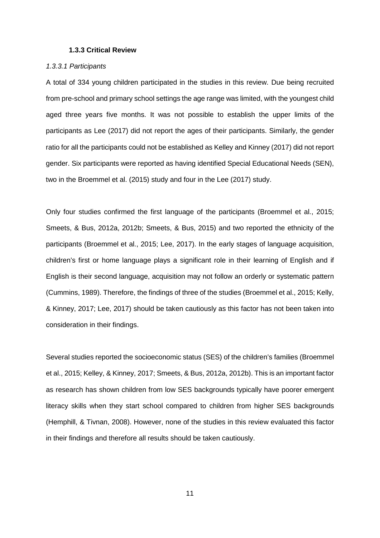#### **1.3.3 Critical Review**

#### *1.3.3.1 Participants*

A total of 334 young children participated in the studies in this review. Due being recruited from pre-school and primary school settings the age range was limited, with the youngest child aged three years five months. It was not possible to establish the upper limits of the participants as Lee (2017) did not report the ages of their participants. Similarly, the gender ratio for all the participants could not be established as Kelley and Kinney (2017) did not report gender. Six participants were reported as having identified Special Educational Needs (SEN), two in the Broemmel et al. (2015) study and four in the Lee (2017) study.

Only four studies confirmed the first language of the participants (Broemmel et al., 2015; Smeets, & Bus, 2012a, 2012b; Smeets, & Bus, 2015) and two reported the ethnicity of the participants (Broemmel et al., 2015; Lee, 2017). In the early stages of language acquisition, children's first or home language plays a significant role in their learning of English and if English is their second language, acquisition may not follow an orderly or systematic pattern (Cummins, 1989). Therefore, the findings of three of the studies (Broemmel et al., 2015; Kelly, & Kinney, 2017; Lee, 2017) should be taken cautiously as this factor has not been taken into consideration in their findings.

Several studies reported the socioeconomic status (SES) of the children's families (Broemmel et al., 2015; Kelley, & Kinney, 2017; Smeets, & Bus, 2012a, 2012b). This is an important factor as research has shown children from low SES backgrounds typically have poorer emergent literacy skills when they start school compared to children from higher SES backgrounds (Hemphill, & Tivnan, 2008). However, none of the studies in this review evaluated this factor in their findings and therefore all results should be taken cautiously.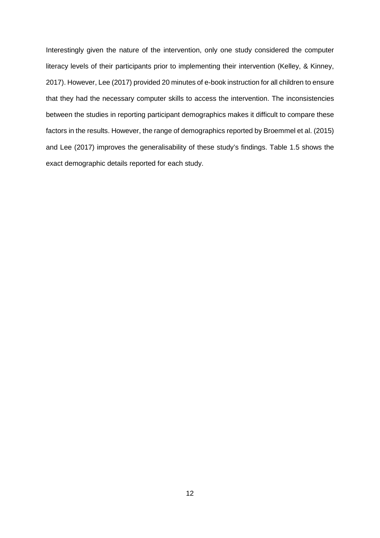Interestingly given the nature of the intervention, only one study considered the computer literacy levels of their participants prior to implementing their intervention (Kelley, & Kinney, 2017). However, Lee (2017) provided 20 minutes of e-book instruction for all children to ensure that they had the necessary computer skills to access the intervention. The inconsistencies between the studies in reporting participant demographics makes it difficult to compare these factors in the results. However, the range of demographics reported by Broemmel et al. (2015) and Lee (2017) improves the generalisability of these study's findings. Table 1.5 shows the exact demographic details reported for each study.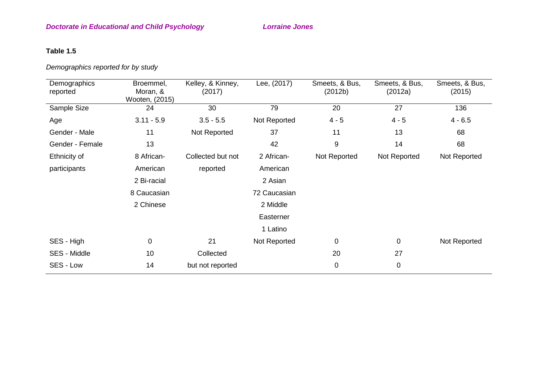## **Table 1.5**

## *Demographics reported for by study*

| Demographics<br>reported | Broemmel,<br>Moran, &<br>Wooten, (2015) | Kelley, & Kinney,<br>(2017) | Lee, (2017)  | Smeets, & Bus,<br>(2012b) | Smeets, & Bus,<br>(2012a) | Smeets, & Bus,<br>(2015) |
|--------------------------|-----------------------------------------|-----------------------------|--------------|---------------------------|---------------------------|--------------------------|
| Sample Size              | 24                                      | 30                          | 79           | 20                        | 27                        | 136                      |
| Age                      | $3.11 - 5.9$                            | $3.5 - 5.5$                 | Not Reported | $4 - 5$                   | $4 - 5$                   | $4 - 6.5$                |
| Gender - Male            | 11                                      | Not Reported                | 37           | 11                        | 13                        | 68                       |
| Gender - Female          | 13                                      |                             | 42           | $\boldsymbol{9}$          | 14                        | 68                       |
| Ethnicity of             | 8 African-                              | Collected but not           | 2 African-   | Not Reported              | Not Reported              | Not Reported             |
| participants             | American                                | reported                    | American     |                           |                           |                          |
|                          | 2 Bi-racial                             |                             | 2 Asian      |                           |                           |                          |
|                          | 8 Caucasian                             |                             | 72 Caucasian |                           |                           |                          |
|                          | 2 Chinese                               |                             | 2 Middle     |                           |                           |                          |
|                          |                                         |                             | Easterner    |                           |                           |                          |
|                          |                                         |                             | 1 Latino     |                           |                           |                          |
| SES - High               | $\mathbf 0$                             | 21                          | Not Reported | 0                         | $\mathbf 0$               | Not Reported             |
| SES - Middle             | 10                                      | Collected                   |              | 20                        | 27                        |                          |
| SES - Low                | 14                                      | but not reported            |              | 0                         | $\pmb{0}$                 |                          |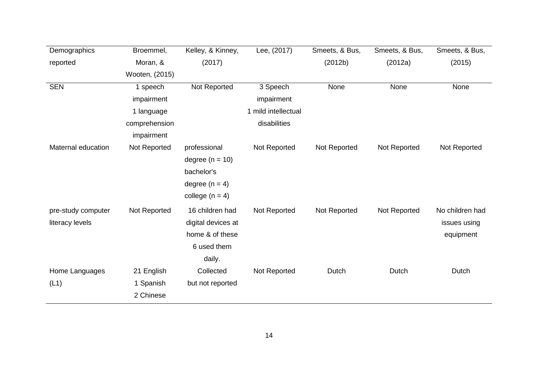| Demographics                          | Broemmel,                   | Kelley, & Kinney,                                                                        | Lee, (2017)         | Smeets, & Bus, | Smeets, & Bus, | Smeets, & Bus,                               |
|---------------------------------------|-----------------------------|------------------------------------------------------------------------------------------|---------------------|----------------|----------------|----------------------------------------------|
| reported                              | Moran, &                    | (2017)                                                                                   |                     | (2012b)        | (2012a)        | (2015)                                       |
|                                       | Wooten, (2015)              |                                                                                          |                     |                |                |                                              |
| <b>SEN</b>                            | 1 speech                    | Not Reported                                                                             | 3 Speech            | None           | None           | None                                         |
|                                       | impairment                  |                                                                                          | impairment          |                |                |                                              |
|                                       | 1 language                  |                                                                                          | 1 mild intellectual |                |                |                                              |
|                                       | comprehension<br>impairment |                                                                                          | disabilities        |                |                |                                              |
| Maternal education                    | Not Reported                | professional<br>degree $(n = 10)$<br>bachelor's<br>degree $(n = 4)$<br>college $(n = 4)$ | Not Reported        | Not Reported   | Not Reported   | Not Reported                                 |
| pre-study computer<br>literacy levels | Not Reported                | 16 children had<br>digital devices at<br>home & of these<br>6 used them<br>daily.        | Not Reported        | Not Reported   | Not Reported   | No children had<br>issues using<br>equipment |
| Home Languages                        | 21 English                  | Collected                                                                                | Not Reported        | Dutch          | Dutch          | Dutch                                        |
| (L1)                                  | 1 Spanish                   | but not reported                                                                         |                     |                |                |                                              |
|                                       | 2 Chinese                   |                                                                                          |                     |                |                |                                              |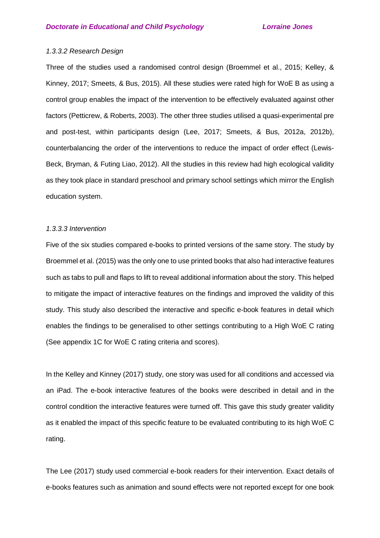### *1.3.3.2 Research Design*

Three of the studies used a randomised control design (Broemmel et al., 2015; Kelley, & Kinney, 2017; Smeets, & Bus, 2015). All these studies were rated high for WoE B as using a control group enables the impact of the intervention to be effectively evaluated against other factors (Petticrew, & Roberts, 2003). The other three studies utilised a quasi-experimental pre and post-test, within participants design (Lee, 2017; Smeets, & Bus, 2012a, 2012b), counterbalancing the order of the interventions to reduce the impact of order effect (Lewis-Beck, Bryman, & Futing Liao, 2012). All the studies in this review had high ecological validity as they took place in standard preschool and primary school settings which mirror the English education system.

### *1.3.3.3 Intervention*

Five of the six studies compared e-books to printed versions of the same story. The study by Broemmel et al. (2015) was the only one to use printed books that also had interactive features such as tabs to pull and flaps to lift to reveal additional information about the story. This helped to mitigate the impact of interactive features on the findings and improved the validity of this study. This study also described the interactive and specific e-book features in detail which enables the findings to be generalised to other settings contributing to a High WoE C rating (See appendix 1C for WoE C rating criteria and scores).

In the Kelley and Kinney (2017) study, one story was used for all conditions and accessed via an iPad. The e-book interactive features of the books were described in detail and in the control condition the interactive features were turned off. This gave this study greater validity as it enabled the impact of this specific feature to be evaluated contributing to its high WoE C rating.

The Lee (2017) study used commercial e-book readers for their intervention. Exact details of e-books features such as animation and sound effects were not reported except for one book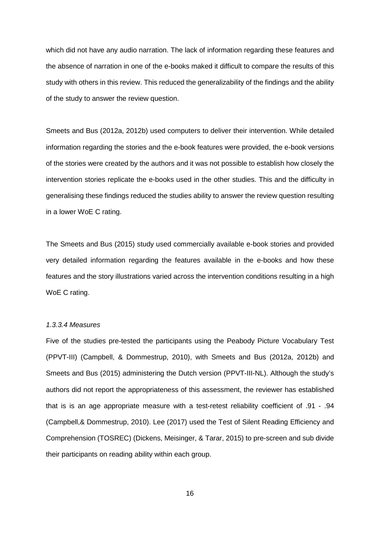which did not have any audio narration. The lack of information regarding these features and the absence of narration in one of the e-books maked it difficult to compare the results of this study with others in this review. This reduced the generalizability of the findings and the ability of the study to answer the review question.

Smeets and Bus (2012a, 2012b) used computers to deliver their intervention. While detailed information regarding the stories and the e-book features were provided, the e-book versions of the stories were created by the authors and it was not possible to establish how closely the intervention stories replicate the e-books used in the other studies. This and the difficulty in generalising these findings reduced the studies ability to answer the review question resulting in a lower WoE C rating.

The Smeets and Bus (2015) study used commercially available e-book stories and provided very detailed information regarding the features available in the e-books and how these features and the story illustrations varied across the intervention conditions resulting in a high WoE C rating.

### *1.3.3.4 Measures*

Five of the studies pre-tested the participants using the Peabody Picture Vocabulary Test (PPVT-III) (Campbell, & Dommestrup, 2010), with Smeets and Bus (2012a, 2012b) and Smeets and Bus (2015) administering the Dutch version (PPVT-III-NL). Although the study's authors did not report the appropriateness of this assessment, the reviewer has established that is is an age appropriate measure with a test-retest reliability coefficient of .91 - .94 (Campbell,& Dommestrup, 2010). Lee (2017) used the Test of Silent Reading Efficiency and Comprehension (TOSREC) (Dickens, Meisinger, & Tarar, 2015) to pre-screen and sub divide their participants on reading ability within each group.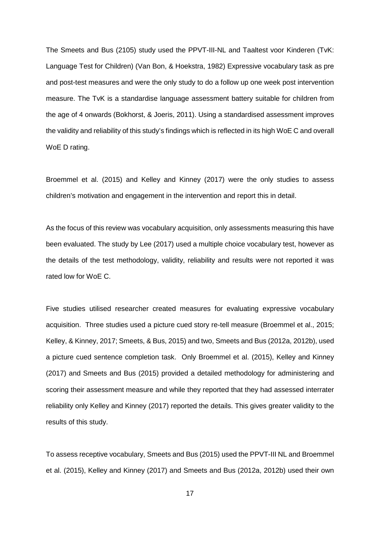The Smeets and Bus (2105) study used the PPVT-III-NL and Taaltest voor Kinderen (TvK: Language Test for Children) (Van Bon, & Hoekstra, 1982) Expressive vocabulary task as pre and post-test measures and were the only study to do a follow up one week post intervention measure. The TvK is a standardise language assessment battery suitable for children from the age of 4 onwards (Bokhorst, & Joeris, 2011). Using a standardised assessment improves the validity and reliability of this study's findings which is reflected in its high WoE C and overall WoE D rating.

Broemmel et al. (2015) and Kelley and Kinney (2017) were the only studies to assess children's motivation and engagement in the intervention and report this in detail.

As the focus of this review was vocabulary acquisition, only assessments measuring this have been evaluated. The study by Lee (2017) used a multiple choice vocabulary test, however as the details of the test methodology, validity, reliability and results were not reported it was rated low for WoE C.

Five studies utilised researcher created measures for evaluating expressive vocabulary acquisition. Three studies used a picture cued story re-tell measure (Broemmel et al., 2015; Kelley, & Kinney, 2017; Smeets, & Bus, 2015) and two, Smeets and Bus (2012a, 2012b), used a picture cued sentence completion task. Only Broemmel et al. (2015), Kelley and Kinney (2017) and Smeets and Bus (2015) provided a detailed methodology for administering and scoring their assessment measure and while they reported that they had assessed interrater reliability only Kelley and Kinney (2017) reported the details. This gives greater validity to the results of this study.

To assess receptive vocabulary, Smeets and Bus (2015) used the PPVT-III NL and Broemmel et al. (2015), Kelley and Kinney (2017) and Smeets and Bus (2012a, 2012b) used their own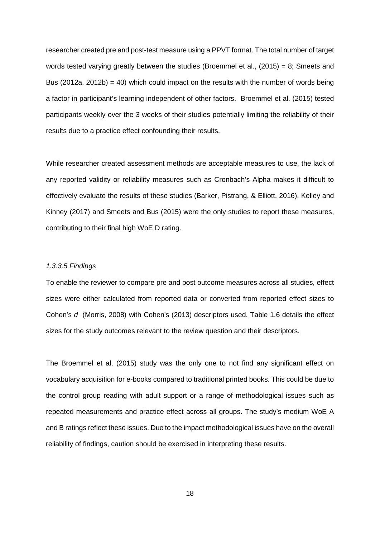researcher created pre and post-test measure using a PPVT format. The total number of target words tested varying greatly between the studies (Broemmel et al., (2015) = 8; Smeets and Bus (2012a, 2012b) = 40) which could impact on the results with the number of words being a factor in participant's learning independent of other factors. Broemmel et al. (2015) tested participants weekly over the 3 weeks of their studies potentially limiting the reliability of their results due to a practice effect confounding their results.

While researcher created assessment methods are acceptable measures to use, the lack of any reported validity or reliability measures such as Cronbach's Alpha makes it difficult to effectively evaluate the results of these studies (Barker, Pistrang, & Elliott, 2016). Kelley and Kinney (2017) and Smeets and Bus (2015) were the only studies to report these measures, contributing to their final high WoE D rating.

### *1.3.3.5 Findings*

To enable the reviewer to compare pre and post outcome measures across all studies, effect sizes were either calculated from reported data or converted from reported effect sizes to Cohen's *d* (Morris, 2008) with Cohen's (2013) descriptors used. Table 1.6 details the effect sizes for the study outcomes relevant to the review question and their descriptors.

The Broemmel et al, (2015) study was the only one to not find any significant effect on vocabulary acquisition for e-books compared to traditional printed books. This could be due to the control group reading with adult support or a range of methodological issues such as repeated measurements and practice effect across all groups. The study's medium WoE A and B ratings reflect these issues. Due to the impact methodological issues have on the overall reliability of findings, caution should be exercised in interpreting these results.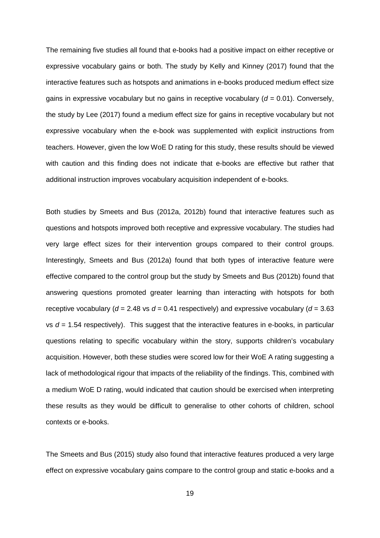The remaining five studies all found that e-books had a positive impact on either receptive or expressive vocabulary gains or both. The study by Kelly and Kinney (2017) found that the interactive features such as hotspots and animations in e-books produced medium effect size gains in expressive vocabulary but no gains in receptive vocabulary (*d* = 0.01). Conversely, the study by Lee (2017) found a medium effect size for gains in receptive vocabulary but not expressive vocabulary when the e-book was supplemented with explicit instructions from teachers. However, given the low WoE D rating for this study, these results should be viewed with caution and this finding does not indicate that e-books are effective but rather that additional instruction improves vocabulary acquisition independent of e-books.

Both studies by Smeets and Bus (2012a, 2012b) found that interactive features such as questions and hotspots improved both receptive and expressive vocabulary. The studies had very large effect sizes for their intervention groups compared to their control groups. Interestingly, Smeets and Bus (2012a) found that both types of interactive feature were effective compared to the control group but the study by Smeets and Bus (2012b) found that answering questions promoted greater learning than interacting with hotspots for both receptive vocabulary ( $d = 2.48$  vs  $d = 0.41$  respectively) and expressive vocabulary ( $d = 3.63$ vs *d* = 1.54 respectively). This suggest that the interactive features in e-books, in particular questions relating to specific vocabulary within the story, supports children's vocabulary acquisition. However, both these studies were scored low for their WoE A rating suggesting a lack of methodological rigour that impacts of the reliability of the findings. This, combined with a medium WoE D rating, would indicated that caution should be exercised when interpreting these results as they would be difficult to generalise to other cohorts of children, school contexts or e-books.

The Smeets and Bus (2015) study also found that interactive features produced a very large effect on expressive vocabulary gains compare to the control group and static e-books and a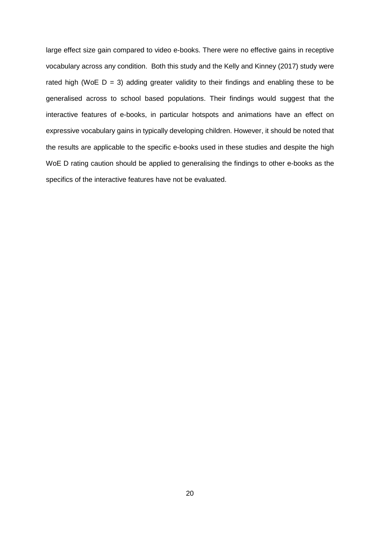large effect size gain compared to video e-books. There were no effective gains in receptive vocabulary across any condition. Both this study and the Kelly and Kinney (2017) study were rated high (WoE  $D = 3$ ) adding greater validity to their findings and enabling these to be generalised across to school based populations. Their findings would suggest that the interactive features of e-books, in particular hotspots and animations have an effect on expressive vocabulary gains in typically developing children. However, it should be noted that the results are applicable to the specific e-books used in these studies and despite the high WoE D rating caution should be applied to generalising the findings to other e-books as the specifics of the interactive features have not be evaluated.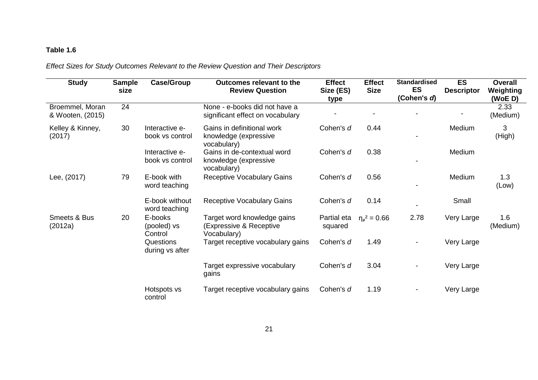# **Table 1.6**

# *Effect Sizes for Study Outcomes Relevant to the Review Question and Their Descriptors*

| <b>Study</b>                        | <b>Sample</b><br>size | Case/Group                        | Outcomes relevant to the<br><b>Review Question</b>                    | <b>Effect</b><br>Size (ES)<br>type | <b>Effect</b><br><b>Size</b> | <b>Standardised</b><br><b>ES</b><br>(Cohen's d) | <b>ES</b><br><b>Descriptor</b> | <b>Overall</b><br>Weighting<br>(WoE D) |
|-------------------------------------|-----------------------|-----------------------------------|-----------------------------------------------------------------------|------------------------------------|------------------------------|-------------------------------------------------|--------------------------------|----------------------------------------|
| Broemmel, Moran<br>& Wooten, (2015) | 24                    |                                   | None - e-books did not have a<br>significant effect on vocabulary     |                                    |                              |                                                 |                                | 2.33<br>(Medium)                       |
| Kelley & Kinney,<br>(2017)          | 30                    | Interactive e-<br>book vs control | Gains in definitional work<br>knowledge (expressive<br>vocabulary)    | Cohen's d                          | 0.44                         |                                                 | Medium                         | 3<br>(High)                            |
|                                     |                       | Interactive e-<br>book vs control | Gains in de-contextual word<br>knowledge (expressive<br>vocabulary)   | Cohen's d                          | 0.38                         |                                                 | Medium                         |                                        |
| Lee, (2017)                         | 79                    | E-book with<br>word teaching      | <b>Receptive Vocabulary Gains</b>                                     | Cohen's d                          | 0.56                         |                                                 | Medium                         | 1.3<br>(Low)                           |
|                                     |                       | E-book without<br>word teaching   | <b>Receptive Vocabulary Gains</b>                                     | Cohen's d                          | 0.14                         |                                                 | Small                          |                                        |
| Smeets & Bus<br>(2012a)             | 20                    | E-books<br>(pooled) vs<br>Control | Target word knowledge gains<br>(Expressive & Receptive<br>Vocabulary) | Partial eta<br>squared             | $\eta_{\rho}^2 = 0.66$       | 2.78                                            | Very Large                     | 1.6<br>(Medium)                        |
|                                     |                       | Questions<br>during vs after      | Target receptive vocabulary gains                                     | Cohen's d                          | 1.49                         |                                                 | Very Large                     |                                        |
|                                     |                       |                                   | Target expressive vocabulary<br>gains                                 | Cohen's d                          | 3.04                         | $\blacksquare$                                  | Very Large                     |                                        |
|                                     |                       | Hotspots vs<br>control            | Target receptive vocabulary gains                                     | Cohen's d                          | 1.19                         | $\overline{\phantom{a}}$                        | Very Large                     |                                        |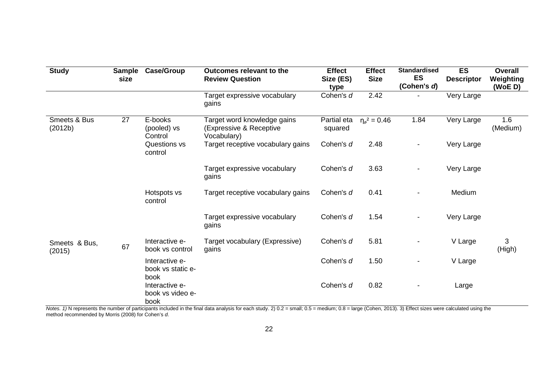| <b>Study</b>            | <b>Sample</b><br>size | Case/Group                                  | Outcomes relevant to the<br><b>Review Question</b>                    | <b>Effect</b><br>Size (ES)<br>type | <b>Effect</b><br><b>Size</b> | <b>Standardised</b><br><b>ES</b><br>(Cohen's d) | <b>ES</b><br><b>Descriptor</b> | <b>Overall</b><br>Weighting<br>(WoE D) |
|-------------------------|-----------------------|---------------------------------------------|-----------------------------------------------------------------------|------------------------------------|------------------------------|-------------------------------------------------|--------------------------------|----------------------------------------|
|                         |                       |                                             | Target expressive vocabulary<br>gains                                 | Cohen's d                          | 2.42                         |                                                 | Very Large                     |                                        |
| Smeets & Bus<br>(2012b) | 27                    | E-books<br>(pooled) vs<br>Control           | Target word knowledge gains<br>(Expressive & Receptive<br>Vocabulary) | Partial eta<br>squared             | $\eta_{\rho}^2 = 0.46$       | 1.84                                            | Very Large                     | 1.6<br>(Medium)                        |
|                         |                       | Questions vs<br>control                     | Target receptive vocabulary gains                                     | Cohen's d                          | 2.48                         | $\overline{\phantom{a}}$                        | Very Large                     |                                        |
|                         |                       |                                             | Target expressive vocabulary<br>gains                                 | Cohen's d                          | 3.63                         | $\overline{\phantom{a}}$                        | Very Large                     |                                        |
|                         |                       | Hotspots vs<br>control                      | Target receptive vocabulary gains                                     | Cohen's d                          | 0.41                         |                                                 | Medium                         |                                        |
|                         |                       |                                             | Target expressive vocabulary<br>gains                                 | Cohen's d                          | 1.54                         | $\blacksquare$                                  | Very Large                     |                                        |
| Smeets & Bus,<br>(2015) | 67                    | Interactive e-<br>book vs control           | Target vocabulary (Expressive)<br>gains                               | Cohen's d                          | 5.81                         |                                                 | V Large                        | $\mathbf{3}$<br>(High)                 |
|                         |                       | Interactive e-<br>book vs static e-<br>book |                                                                       | Cohen's d                          | 1.50                         |                                                 | V Large                        |                                        |
|                         |                       | Interactive e-<br>book vs video e-<br>book  |                                                                       | Cohen's d                          | 0.82                         |                                                 | Large                          |                                        |

Notes. 1) N represents the number of participants included in the final data analysis for each study. 2) 0.2 = small; 0.5 = medium; 0.8 = large (Cohen, 2013). 3) Effect sizes were calculated using the method recommended by Morris (2008) for Cohen's *d*.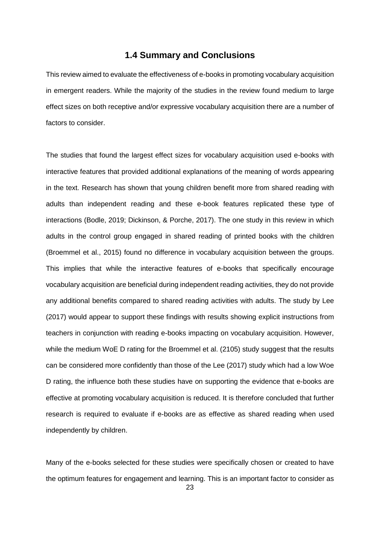# **1.4 Summary and Conclusions**

This review aimed to evaluate the effectiveness of e-books in promoting vocabulary acquisition in emergent readers. While the majority of the studies in the review found medium to large effect sizes on both receptive and/or expressive vocabulary acquisition there are a number of factors to consider.

The studies that found the largest effect sizes for vocabulary acquisition used e-books with interactive features that provided additional explanations of the meaning of words appearing in the text. Research has shown that young children benefit more from shared reading with adults than independent reading and these e-book features replicated these type of interactions (Bodle, 2019; Dickinson, & Porche, 2017). The one study in this review in which adults in the control group engaged in shared reading of printed books with the children (Broemmel et al., 2015) found no difference in vocabulary acquisition between the groups. This implies that while the interactive features of e-books that specifically encourage vocabulary acquisition are beneficial during independent reading activities, they do not provide any additional benefits compared to shared reading activities with adults. The study by Lee (2017) would appear to support these findings with results showing explicit instructions from teachers in conjunction with reading e-books impacting on vocabulary acquisition. However, while the medium WoE D rating for the Broemmel et al. (2105) study suggest that the results can be considered more confidently than those of the Lee (2017) study which had a low Woe D rating, the influence both these studies have on supporting the evidence that e-books are effective at promoting vocabulary acquisition is reduced. It is therefore concluded that further research is required to evaluate if e-books are as effective as shared reading when used independently by children.

Many of the e-books selected for these studies were specifically chosen or created to have the optimum features for engagement and learning. This is an important factor to consider as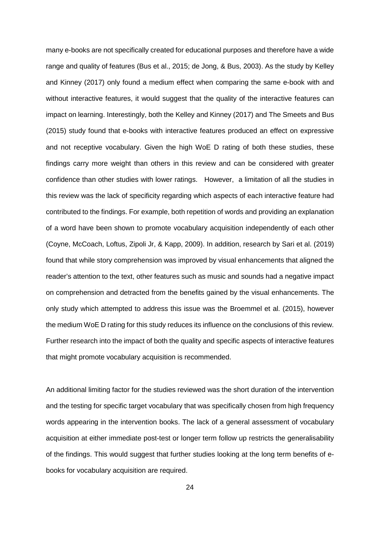many e-books are not specifically created for educational purposes and therefore have a wide range and quality of features (Bus et al., 2015; de Jong, & Bus, 2003). As the study by Kelley and Kinney (2017) only found a medium effect when comparing the same e-book with and without interactive features, it would suggest that the quality of the interactive features can impact on learning. Interestingly, both the Kelley and Kinney (2017) and The Smeets and Bus (2015) study found that e-books with interactive features produced an effect on expressive and not receptive vocabulary. Given the high WoE D rating of both these studies, these findings carry more weight than others in this review and can be considered with greater confidence than other studies with lower ratings. However, a limitation of all the studies in this review was the lack of specificity regarding which aspects of each interactive feature had contributed to the findings. For example, both repetition of words and providing an explanation of a word have been shown to promote vocabulary acquisition independently of each other (Coyne, McCoach, Loftus, Zipoli Jr, & Kapp, 2009). In addition, research by Sari et al. (2019) found that while story comprehension was improved by visual enhancements that aligned the reader's attention to the text, other features such as music and sounds had a negative impact on comprehension and detracted from the benefits gained by the visual enhancements. The only study which attempted to address this issue was the Broemmel et al. (2015), however the medium WoE D rating for this study reduces its influence on the conclusions of this review. Further research into the impact of both the quality and specific aspects of interactive features that might promote vocabulary acquisition is recommended.

An additional limiting factor for the studies reviewed was the short duration of the intervention and the testing for specific target vocabulary that was specifically chosen from high frequency words appearing in the intervention books. The lack of a general assessment of vocabulary acquisition at either immediate post-test or longer term follow up restricts the generalisability of the findings. This would suggest that further studies looking at the long term benefits of ebooks for vocabulary acquisition are required.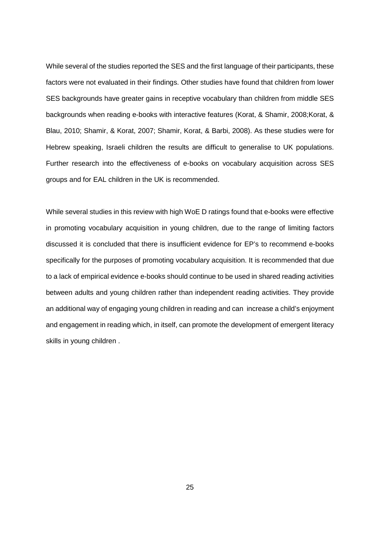While several of the studies reported the SES and the first language of their participants, these factors were not evaluated in their findings. Other studies have found that children from lower SES backgrounds have greater gains in receptive vocabulary than children from middle SES backgrounds when reading e-books with interactive features (Korat, & Shamir, 2008;Korat, & Blau, 2010; Shamir, & Korat, 2007; Shamir, Korat, & Barbi, 2008). As these studies were for Hebrew speaking, Israeli children the results are difficult to generalise to UK populations. Further research into the effectiveness of e-books on vocabulary acquisition across SES groups and for EAL children in the UK is recommended.

While several studies in this review with high WoE D ratings found that e-books were effective in promoting vocabulary acquisition in young children, due to the range of limiting factors discussed it is concluded that there is insufficient evidence for EP's to recommend e-books specifically for the purposes of promoting vocabulary acquisition. It is recommended that due to a lack of empirical evidence e-books should continue to be used in shared reading activities between adults and young children rather than independent reading activities. They provide an additional way of engaging young children in reading and can increase a child's enjoyment and engagement in reading which, in itself, can promote the development of emergent literacy skills in young children .

25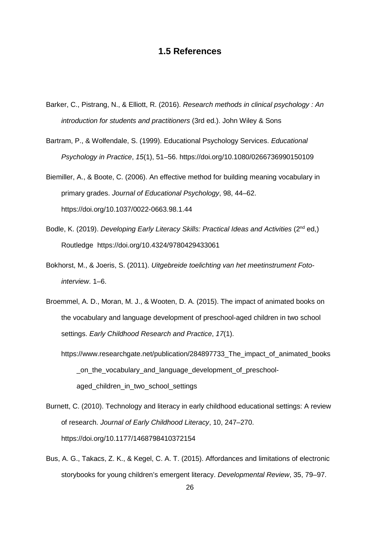## **1.5 References**

- Barker, C., Pistrang, N., & Elliott, R. (2016). *Research methods in clinical psychology : An introduction for students and practitioners* (3rd ed.). John Wiley & Sons
- Bartram, P., & Wolfendale, S. (1999). Educational Psychology Services. *Educational Psychology in Practice*, *15*(1), 51–56. https://doi.org/10.1080/0266736990150109

Biemiller, A., & Boote, C. (2006). An effective method for building meaning vocabulary in primary grades. *Journal of Educational Psychology*, 98, 44–62. https://doi.org/10.1037/0022-0663.98.1.44

- Bodle, K. (2019). *Developing Early Literacy Skills: Practical Ideas and Activities* (2nd ed,) Routledge https://doi.org/10.4324/9780429433061
- Bokhorst, M., & Joeris, S. (2011). *Uitgebreide toelichting van het meetinstrument Fotointerview*. 1–6.
- Broemmel, A. D., Moran, M. J., & Wooten, D. A. (2015). The impact of animated books on the vocabulary and language development of preschool-aged children in two school settings. *Early Childhood Research and Practice*, *17*(1).
	- https://www.researchgate.net/publication/284897733 The impact of animated books \_on\_the\_vocabulary\_and\_language\_development\_of\_preschoolaged\_children\_in\_two\_school\_settings
- Burnett, C. (2010). Technology and literacy in early childhood educational settings: A review of research. *Journal of Early Childhood Literacy*, 10, 247–270. https://doi.org/10.1177/1468798410372154
- Bus, A. G., Takacs, Z. K., & Kegel, C. A. T. (2015). Affordances and limitations of electronic storybooks for young children's emergent literacy. *Developmental Review*, 35, 79–97.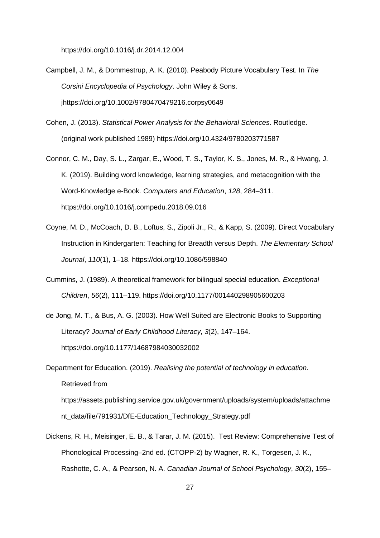https://doi.org/10.1016/j.dr.2014.12.004

- Campbell, J. M., & Dommestrup, A. K. (2010). Peabody Picture Vocabulary Test. In *The Corsini Encyclopedia of Psychology*. John Wiley & Sons. jhttps://doi.org/10.1002/9780470479216.corpsy0649
- Cohen, J. (2013). *Statistical Power Analysis for the Behavioral Sciences*. Routledge. (original work published 1989) https://doi.org/10.4324/9780203771587
- Connor, C. M., Day, S. L., Zargar, E., Wood, T. S., Taylor, K. S., Jones, M. R., & Hwang, J. K. (2019). Building word knowledge, learning strategies, and metacognition with the Word-Knowledge e-Book. *Computers and Education*, *128*, 284–311. https://doi.org/10.1016/j.compedu.2018.09.016
- Coyne, M. D., McCoach, D. B., Loftus, S., Zipoli Jr., R., & Kapp, S. (2009). Direct Vocabulary Instruction in Kindergarten: Teaching for Breadth versus Depth. *The Elementary School Journal*, *110*(1), 1–18. https://doi.org/10.1086/598840
- Cummins, J. (1989). A theoretical framework for bilingual special education. *Exceptional Children*, *56*(2), 111–119. https://doi.org/10.1177/001440298905600203
- de Jong, M. T., & Bus, A. G. (2003). How Well Suited are Electronic Books to Supporting Literacy? *Journal of Early Childhood Literacy*, *3*(2), 147–164. https://doi.org/10.1177/14687984030032002

Department for Education. (2019). *Realising the potential of technology in education*. Retrieved from https://assets.publishing.service.gov.uk/government/uploads/system/uploads/attachme

nt\_data/file/791931/DfE-Education\_Technology\_Strategy.pdf

Dickens, R. H., Meisinger, E. B., & Tarar, J. M. (2015). Test Review: Comprehensive Test of Phonological Processing–2nd ed. (CTOPP-2) by Wagner, R. K., Torgesen, J. K., Rashotte, C. A., & Pearson, N. A. *Canadian Journal of School Psychology*, *30*(2), 155–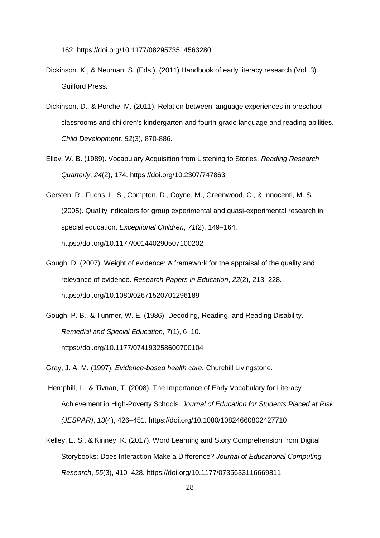162. https://doi.org/10.1177/0829573514563280

- Dickinson. K., & Neuman, S. (Eds.). (2011) Handbook of early literacy research (Vol. 3). Guilford Press.
- Dickinson, D., & Porche, M. (2011). Relation between language experiences in preschool classrooms and children's kindergarten and fourth-grade language and reading abilities. *Child Development, 82*(3), 870-886.
- Elley, W. B. (1989). Vocabulary Acquisition from Listening to Stories. *Reading Research Quarterly*, *24*(2), 174. https://doi.org/10.2307/747863
- Gersten, R., Fuchs, L. S., Compton, D., Coyne, M., Greenwood, C., & Innocenti, M. S. (2005). Quality indicators for group experimental and quasi-experimental research in special education. *Exceptional Children*, *71*(2), 149–164. https://doi.org/10.1177/001440290507100202
- Gough, D. (2007). Weight of evidence: A framework for the appraisal of the quality and relevance of evidence. *Research Papers in Education*, *22*(2), 213–228. https://doi.org/10.1080/02671520701296189
- Gough, P. B., & Tunmer, W. E. (1986). Decoding, Reading, and Reading Disability. *Remedial and Special Education*, *7*(1), 6–10. https://doi.org/10.1177/074193258600700104

Gray, J. A. M. (1997). *Evidence-based health care.* Churchill Livingstone.

- Hemphill, L., & Tivnan, T. (2008). The Importance of Early Vocabulary for Literacy Achievement in High-Poverty Schools. *Journal of Education for Students Placed at Risk (JESPAR)*, *13*(4), 426–451. https://doi.org/10.1080/10824660802427710
- Kelley, E. S., & Kinney, K. (2017). Word Learning and Story Comprehension from Digital Storybooks: Does Interaction Make a Difference? *Journal of Educational Computing Research*, *55*(3), 410–428. https://doi.org/10.1177/0735633116669811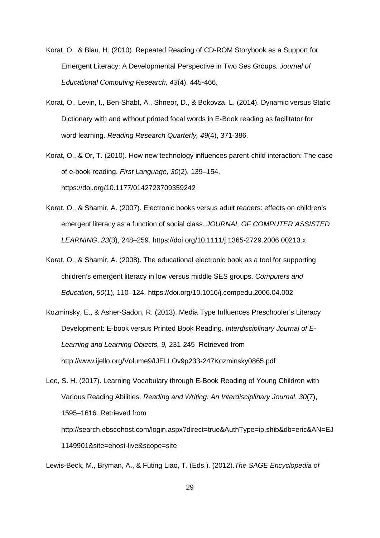- Korat, O., & Blau, H. (2010). Repeated Reading of CD-ROM Storybook as a Support for Emergent Literacy: A Developmental Perspective in Two Ses Groups. *Journal of Educational Computing Research, 43*(4), 445-466.
- Korat, O., Levin, I., Ben‐Shabt, A., Shneor, D., & Bokovza, L. (2014). Dynamic versus Static Dictionary with and without printed focal words in E‐Book reading as facilitator for word learning. *Reading Research Quarterly, 49*(4), 371-386.
- Korat, O., & Or, T. (2010). How new technology influences parent-child interaction: The case of e-book reading. *First Language*, *30*(2), 139–154. https://doi.org/10.1177/0142723709359242
- Korat, O., & Shamir, A. (2007). Electronic books versus adult readers: effects on children's emergent literacy as a function of social class. *JOURNAL OF COMPUTER ASSISTED LEARNING*, *23*(3), 248–259. https://doi.org/10.1111/j.1365-2729.2006.00213.x
- Korat, O., & Shamir, A. (2008). The educational electronic book as a tool for supporting children's emergent literacy in low versus middle SES groups. *Computers and Education*, *50*(1), 110–124. https://doi.org/10.1016/j.compedu.2006.04.002
- Kozminsky, E., & Asher-Sadon, R. (2013). Media Type Influences Preschooler's Literacy Development: E-book versus Printed Book Reading. *Interdisciplinary Journal of E-Learning and Learning Objects, 9,* 231-245 Retrieved from http://www.ijello.org/Volume9/IJELLOv9p233-247Kozminsky0865.pdf

Lee, S. H. (2017). Learning Vocabulary through E-Book Reading of Young Children with Various Reading Abilities. *Reading and Writing: An Interdisciplinary Journal*, *30*(7), 1595–1616. Retrieved from http://search.ebscohost.com/login.aspx?direct=true&AuthType=ip,shib&db=eric&AN=EJ 1149901&site=ehost-live&scope=site

Lewis-Beck, M., Bryman, A., & Futing Liao, T. (Eds.). (2012).*The SAGE Encyclopedia of*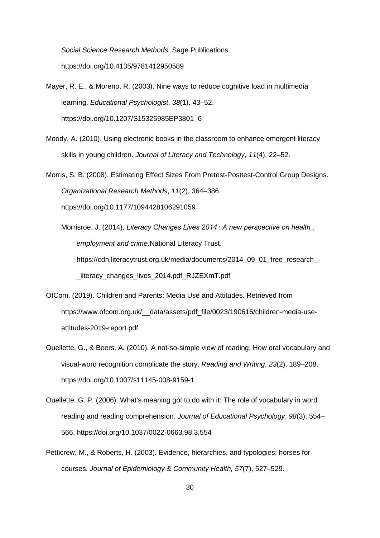*Social Science Research Methods*. Sage Publications. https://doi.org/10.4135/9781412950589

- Mayer, R. E., & Moreno, R. (2003). Nine ways to reduce cognitive load in multimedia learning. *Educational Psychologist*, *38*(1), 43–52. https://doi.org/10.1207/S15326985EP3801\_6
- Moody, A. (2010). Using electronic books in the classroom to enhance emergent literacy skills in young children. *Journal of Literacy and Technology*, *11*(4), 22–52.

Morris, S. B. (2008). Estimating Effect Sizes From Pretest-Posttest-Control Group Designs. *Organizational Research Methods*, *11*(2), 364–386. https://doi.org/10.1177/1094428106291059

- Morrisroe, J. (2014). *Literacy Changes Lives 2014 : A new perspective on health , employment and crime*.National Literacy Trust. https://cdn.literacytrust.org.uk/media/documents/2014\_09\_01\_free\_research\_- \_literacy\_changes\_lives\_2014.pdf\_RJZEXmT.pdf
- OfCom. (2019). Children and Parents: Media Use and Attitudes. Retrieved from https://www.ofcom.org.uk/\_\_data/assets/pdf\_file/0023/190616/children-media-useattitudes-2019-report.pdf
- Ouellette, G., & Beers, A. (2010). A not-so-simple view of reading: How oral vocabulary and visual-word recognition complicate the story. *Reading and Writing*, *23*(2), 189–208. https://doi.org/10.1007/s11145-008-9159-1
- Ouellette, G. P. (2006). What's meaning got to do with it: The role of vocabulary in word reading and reading comprehension. *Journal of Educational Psychology*, *98*(3), 554– 566. https://doi.org/10.1037/0022-0663.98.3.554
- Petticrew, M., & Roberts, H. (2003). Evidence, hierarchies, and typologies: horses for courses. *Journal of Epidemiology & Community Health, 57*(7), 527–529.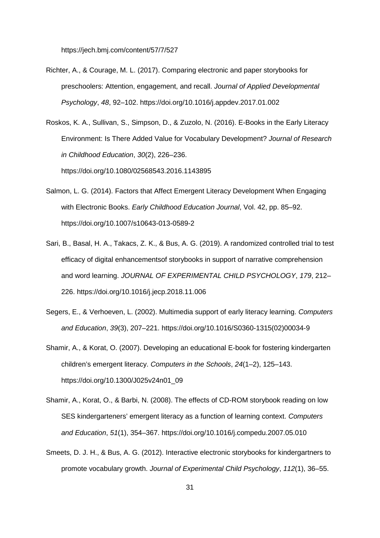https://jech.bmj.com/content/57/7/527

- Richter, A., & Courage, M. L. (2017). Comparing electronic and paper storybooks for preschoolers: Attention, engagement, and recall. *Journal of Applied Developmental Psychology*, *48*, 92–102. https://doi.org/10.1016/j.appdev.2017.01.002
- Roskos, K. A., Sullivan, S., Simpson, D., & Zuzolo, N. (2016). E-Books in the Early Literacy Environment: Is There Added Value for Vocabulary Development? *Journal of Research in Childhood Education*, *30*(2), 226–236. https://doi.org/10.1080/02568543.2016.1143895
- Salmon, L. G. (2014). Factors that Affect Emergent Literacy Development When Engaging with Electronic Books. *Early Childhood Education Journal*, Vol. 42, pp. 85–92. https://doi.org/10.1007/s10643-013-0589-2
- Sari, B., Basal, H. A., Takacs, Z. K., & Bus, A. G. (2019). A randomized controlled trial to test efficacy of digital enhancementsof storybooks in support of narrative comprehension and word learning. *JOURNAL OF EXPERIMENTAL CHILD PSYCHOLOGY*, *179*, 212– 226. https://doi.org/10.1016/j.jecp.2018.11.006
- Segers, E., & Verhoeven, L. (2002). Multimedia support of early literacy learning. *Computers and Education*, *39*(3), 207–221. https://doi.org/10.1016/S0360-1315(02)00034-9
- Shamir, A., & Korat, O. (2007). Developing an educational E-book for fostering kindergarten children's emergent literacy. *Computers in the Schools*, *24*(1–2), 125–143. https://doi.org/10.1300/J025v24n01\_09
- Shamir, A., Korat, O., & Barbi, N. (2008). The effects of CD-ROM storybook reading on low SES kindergarteners' emergent literacy as a function of learning context. *Computers and Education*, *51*(1), 354–367. https://doi.org/10.1016/j.compedu.2007.05.010
- Smeets, D. J. H., & Bus, A. G. (2012). Interactive electronic storybooks for kindergartners to promote vocabulary growth. *Journal of Experimental Child Psychology*, *112*(1), 36–55.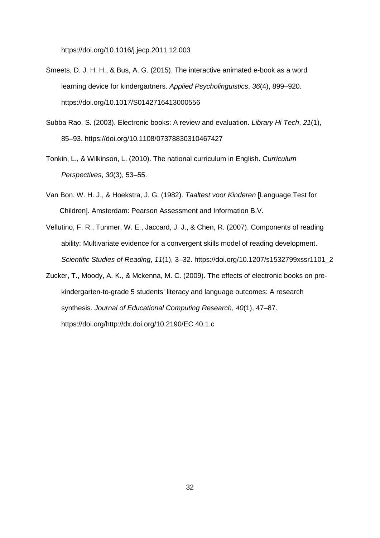https://doi.org/10.1016/j.jecp.2011.12.003

- Smeets, D. J. H. H., & Bus, A. G. (2015). The interactive animated e-book as a word learning device for kindergartners. *Applied Psycholinguistics*, *36*(4), 899–920. https://doi.org/10.1017/S0142716413000556
- Subba Rao, S. (2003). Electronic books: A review and evaluation. *Library Hi Tech*, *21*(1), 85–93. https://doi.org/10.1108/07378830310467427
- Tonkin, L., & Wilkinson, L. (2010). The national curriculum in English. *Curriculum Perspectives*, *30*(3), 53–55.
- Van Bon, W. H. J., & Hoekstra, J. G. (1982). *Taaltest voor Kinderen* [Language Test for Children]. Amsterdam: Pearson Assessment and Information B.V.
- Vellutino, F. R., Tunmer, W. E., Jaccard, J. J., & Chen, R. (2007). Components of reading ability: Multivariate evidence for a convergent skills model of reading development. *Scientific Studies of Reading*, *11*(1), 3–32. https://doi.org/10.1207/s1532799xssr1101\_2
- Zucker, T., Moody, A. K., & Mckenna, M. C. (2009). The effects of electronic books on prekindergarten-to-grade 5 students' literacy and language outcomes: A research synthesis. *Journal of Educational Computing Research*, *40*(1), 47–87. https://doi.org/http://dx.doi.org/10.2190/EC.40.1.c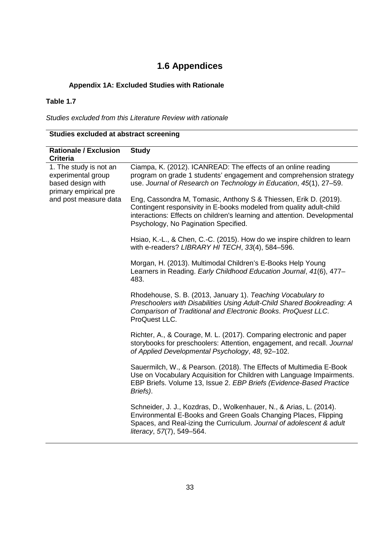# **1.6 Appendices**

## **Appendix 1A: Excluded Studies with Rationale**

## **Table 1.7**

*Studies excluded from this Literature Review with rationale*

# **Studies excluded at abstract screening**

| <b>Rationale / Exclusion</b><br><b>Criteria</b>                                            | <b>Study</b>                                                                                                                                                                                                                                                 |
|--------------------------------------------------------------------------------------------|--------------------------------------------------------------------------------------------------------------------------------------------------------------------------------------------------------------------------------------------------------------|
| 1. The study is not an<br>experimental group<br>based design with<br>primary empirical pre | Ciampa, K. (2012). ICANREAD: The effects of an online reading<br>program on grade 1 students' engagement and comprehension strategy<br>use. Journal of Research on Technology in Education, 45(1), 27-59.                                                    |
| and post measure data                                                                      | Eng, Cassondra M, Tomasic, Anthony S & Thiessen, Erik D. (2019).<br>Contingent responsivity in E-books modeled from quality adult-child<br>interactions: Effects on children's learning and attention. Developmental<br>Psychology, No Pagination Specified. |
|                                                                                            | Hsiao, K.-L., & Chen, C.-C. (2015). How do we inspire children to learn<br>with e-readers? LIBRARY HI TECH, 33(4), 584-596.                                                                                                                                  |
|                                                                                            | Morgan, H. (2013). Multimodal Children's E-Books Help Young<br>Learners in Reading. Early Childhood Education Journal, 41(6), 477-<br>483.                                                                                                                   |
|                                                                                            | Rhodehouse, S. B. (2013, January 1). Teaching Vocabulary to<br>Preschoolers with Disabilities Using Adult-Child Shared Bookreading: A<br>Comparison of Traditional and Electronic Books. ProQuest LLC.<br>ProQuest LLC.                                      |
|                                                                                            | Richter, A., & Courage, M. L. (2017). Comparing electronic and paper<br>storybooks for preschoolers: Attention, engagement, and recall. Journal<br>of Applied Developmental Psychology, 48, 92-102.                                                          |
|                                                                                            | Sauermilch, W., & Pearson. (2018). The Effects of Multimedia E-Book<br>Use on Vocabulary Acquisition for Children with Language Impairments.<br>EBP Briefs. Volume 13, Issue 2. EBP Briefs (Evidence-Based Practice<br>Briefs).                              |
|                                                                                            | Schneider, J. J., Kozdras, D., Wolkenhauer, N., & Arias, L. (2014).<br>Environmental E-Books and Green Goals Changing Places, Flipping<br>Spaces, and Real-izing the Curriculum. Journal of adolescent & adult<br>literacy, 57(7), 549-564.                  |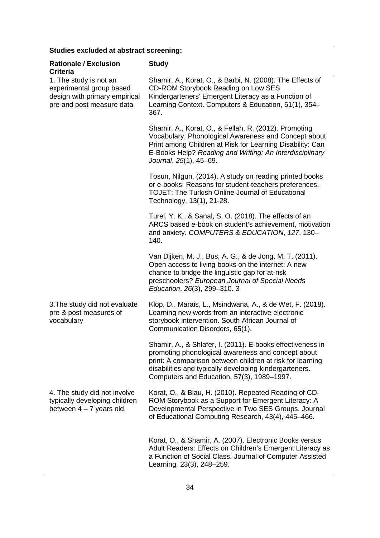| Studies excluded at abstract screening: |  |  |  |
|-----------------------------------------|--|--|--|
|-----------------------------------------|--|--|--|

| <b>Rationale / Exclusion</b><br><b>Criteria</b>                                                                  | <b>Study</b>                                                                                                                                                                                                                                                                          |
|------------------------------------------------------------------------------------------------------------------|---------------------------------------------------------------------------------------------------------------------------------------------------------------------------------------------------------------------------------------------------------------------------------------|
| 1. The study is not an<br>experimental group based<br>design with primary empirical<br>pre and post measure data | Shamir, A., Korat, O., & Barbi, N. (2008). The Effects of<br>CD-ROM Storybook Reading on Low SES<br>Kindergarteners' Emergent Literacy as a Function of<br>Learning Context. Computers & Education, 51(1), 354-<br>367.                                                               |
|                                                                                                                  | Shamir, A., Korat, O., & Fellah, R. (2012). Promoting<br>Vocabulary, Phonological Awareness and Concept about<br>Print among Children at Risk for Learning Disability: Can<br>E-Books Help? Reading and Writing: An Interdisciplinary<br>Journal, 25(1), 45-69.                       |
|                                                                                                                  | Tosun, Nilgun. (2014). A study on reading printed books<br>or e-books: Reasons for student-teachers preferences.<br><b>TOJET: The Turkish Online Journal of Educational</b><br>Technology, 13(1), 21-28.                                                                              |
|                                                                                                                  | Turel, Y. K., & Sanal, S. O. (2018). The effects of an<br>ARCS based e-book on student's achievement, motivation<br>and anxiety. COMPUTERS & EDUCATION, 127, 130-<br>140.                                                                                                             |
|                                                                                                                  | Van Dijken, M. J., Bus, A. G., & de Jong, M. T. (2011).<br>Open access to living books on the internet: A new<br>chance to bridge the linguistic gap for at-risk<br>preschoolers? European Journal of Special Needs<br>Education, 26(3), 299-310. 3                                   |
| 3. The study did not evaluate<br>pre & post measures of<br>vocabulary                                            | Klop, D., Marais, L., Msindwana, A., & de Wet, F. (2018).<br>Learning new words from an interactive electronic<br>storybook intervention. South African Journal of<br>Communication Disorders, 65(1).                                                                                 |
|                                                                                                                  | Shamir, A., & Shlafer, I. (2011). E-books effectiveness in<br>promoting phonological awareness and concept about<br>print: A comparison between children at risk for learning<br>disabilities and typically developing kindergarteners.<br>Computers and Education, 57(3), 1989-1997. |
| 4. The study did not involve<br>typically developing children<br>between $4 - 7$ years old.                      | Korat, O., & Blau, H. (2010). Repeated Reading of CD-<br>ROM Storybook as a Support for Emergent Literacy: A<br>Developmental Perspective in Two SES Groups. Journal<br>of Educational Computing Research, 43(4), 445-466.                                                            |
|                                                                                                                  | Korat, O., & Shamir, A. (2007). Electronic Books versus<br>Adult Readers: Effects on Children's Emergent Literacy as<br>a Function of Social Class. Journal of Computer Assisted<br>Learning, 23(3), 248-259.                                                                         |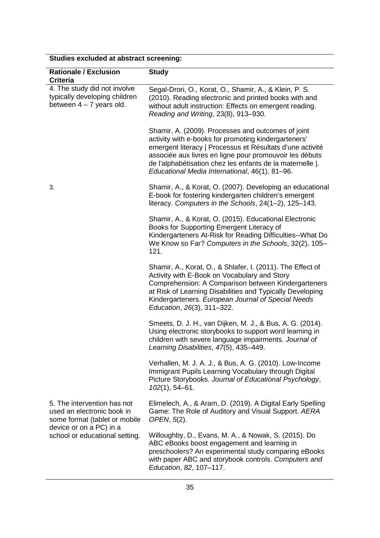| <b>Rationale / Exclusion</b><br><b>Criteria</b>                                             | <b>Study</b>                                                                                                                                                                                                                                                                                                                                      |
|---------------------------------------------------------------------------------------------|---------------------------------------------------------------------------------------------------------------------------------------------------------------------------------------------------------------------------------------------------------------------------------------------------------------------------------------------------|
| 4. The study did not involve<br>typically developing children<br>between $4 - 7$ years old. | Segal-Drori, O., Korat, O., Shamir, A., & Klein, P. S.<br>(2010). Reading electronic and printed books with and<br>without adult instruction: Effects on emergent reading.<br>Reading and Writing, 23(8), 913-930.                                                                                                                                |
|                                                                                             | Shamir, A. (2009). Processes and outcomes of joint<br>activity with e-books for promoting kindergarteners'<br>emergent literacy   Processus et Résultats d'une activité<br>associée aux livres en ligne pour promouvoir les débuts<br>de l'alphabétisation chez les enfants de la maternelle  .<br>Educational Media International, 46(1), 81-96. |
| 3.                                                                                          | Shamir, A., & Korat, O. (2007). Developing an educational<br>E-book for fostering kindergarten children's emergent<br>literacy. Computers in the Schools, 24(1-2), 125-143.                                                                                                                                                                       |
|                                                                                             | Shamir, A., & Korat, O. (2015). Educational Electronic<br>Books for Supporting Emergent Literacy of<br>Kindergarteners At-Risk for Reading Difficulties--What Do<br>We Know so Far? Computers in the Schools, 32(2), 105-<br>121.                                                                                                                 |
|                                                                                             | Shamir, A., Korat, O., & Shlafer, I. (2011). The Effect of<br>Activity with E-Book on Vocabulary and Story<br>Comprehension: A Comparison between Kindergarteners<br>at Risk of Learning Disabilities and Typically Developing<br>Kindergarteners. European Journal of Special Needs<br>Education, 26(3), 311-322.                                |
|                                                                                             | Smeets, D. J. H., van Dijken, M. J., & Bus, A. G. (2014).<br>Using electronic storybooks to support word learning in<br>children with severe language impairments. Journal of<br>Learning Disabilities, 47(5), 435-449.                                                                                                                           |
|                                                                                             | Verhallen, M. J. A. J., & Bus, A. G. (2010). Low-Income<br>Immigrant Pupils Learning Vocabulary through Digital<br>Picture Storybooks. Journal of Educational Psychology,<br>$102(1), 54 - 61.$                                                                                                                                                   |
| 5. The intervention has not<br>used an electronic book in<br>some format (tablet or mobile  | Elimelech, A., & Aram, D. (2019). A Digital Early Spelling<br>Game: The Role of Auditory and Visual Support. AERA<br>OPEN, 5(2).                                                                                                                                                                                                                  |
| device or on a PC) in a<br>school or educational setting.                                   | Willoughby, D., Evans, M. A., & Nowak, S. (2015). Do<br>ABC eBooks boost engagement and learning in<br>preschoolers? An experimental study comparing eBooks<br>with paper ABC and storybook controls. Computers and<br>Education, 82, 107-117.                                                                                                    |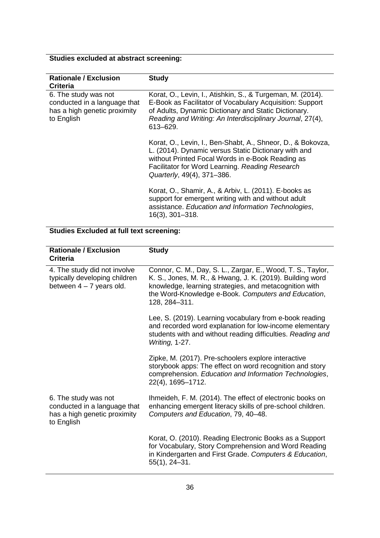# **Studies excluded at abstract screening:**

| <b>Rationale / Exclusion</b><br><b>Criteria</b>                                                    | <b>Study</b>                                                                                                                                                                                                                                             |
|----------------------------------------------------------------------------------------------------|----------------------------------------------------------------------------------------------------------------------------------------------------------------------------------------------------------------------------------------------------------|
| 6. The study was not<br>conducted in a language that<br>has a high genetic proximity<br>to English | Korat, O., Levin, I., Atishkin, S., & Turgeman, M. (2014).<br>E-Book as Facilitator of Vocabulary Acquisition: Support<br>of Adults, Dynamic Dictionary and Static Dictionary.<br>Reading and Writing: An Interdisciplinary Journal, 27(4),<br>613-629.  |
|                                                                                                    | Korat, O., Levin, I., Ben-Shabt, A., Shneor, D., & Bokovza,<br>L. (2014). Dynamic versus Static Dictionary with and<br>without Printed Focal Words in e-Book Reading as<br>Facilitator for Word Learning. Reading Research<br>Quarterly, 49(4), 371-386. |
|                                                                                                    | Korat, O., Shamir, A., & Arbiv, L. (2011). E-books as<br>support for emergent writing with and without adult<br>assistance. Education and Information Technologies,<br>$16(3)$ , $301-318$ .                                                             |

# **Studies Excluded at full text screening:**

| <b>Rationale / Exclusion</b><br><b>Criteria</b>                                                    | <b>Study</b>                                                                                                                                                                                                                                               |
|----------------------------------------------------------------------------------------------------|------------------------------------------------------------------------------------------------------------------------------------------------------------------------------------------------------------------------------------------------------------|
| 4. The study did not involve<br>typically developing children<br>between $4 - 7$ years old.        | Connor, C. M., Day, S. L., Zargar, E., Wood, T. S., Taylor,<br>K. S., Jones, M. R., & Hwang, J. K. (2019). Building word<br>knowledge, learning strategies, and metacognition with<br>the Word-Knowledge e-Book. Computers and Education,<br>128, 284-311. |
|                                                                                                    | Lee, S. (2019). Learning vocabulary from e-book reading<br>and recorded word explanation for low-income elementary<br>students with and without reading difficulties. Reading and<br><b>Writing, 1-27.</b>                                                 |
|                                                                                                    | Zipke, M. (2017). Pre-schoolers explore interactive<br>storybook apps: The effect on word recognition and story<br>comprehension. Education and Information Technologies,<br>22(4), 1695-1712.                                                             |
| 6. The study was not<br>conducted in a language that<br>has a high genetic proximity<br>to English | Ihmeideh, F. M. (2014). The effect of electronic books on<br>enhancing emergent literacy skills of pre-school children.<br>Computers and Education, 79, 40-48.                                                                                             |
|                                                                                                    | Korat, O. (2010). Reading Electronic Books as a Support<br>for Vocabulary, Story Comprehension and Word Reading<br>in Kindergarten and First Grade. Computers & Education,<br>$55(1), 24-31.$                                                              |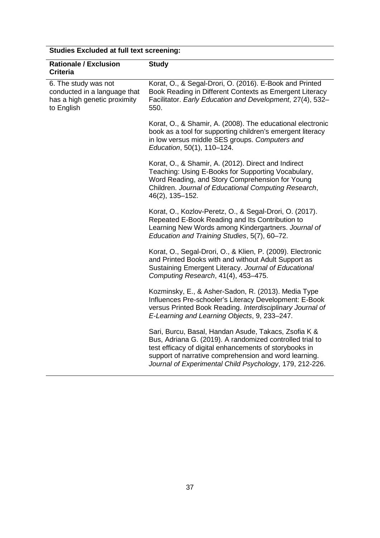**Studies Excluded at full text screening:**

| <b>Rationale / Exclusion</b><br><b>Criteria</b>                                                    | <b>Study</b>                                                                                                                                                                                                                                                                                   |
|----------------------------------------------------------------------------------------------------|------------------------------------------------------------------------------------------------------------------------------------------------------------------------------------------------------------------------------------------------------------------------------------------------|
| 6. The study was not<br>conducted in a language that<br>has a high genetic proximity<br>to English | Korat, O., & Segal-Drori, O. (2016). E-Book and Printed<br>Book Reading in Different Contexts as Emergent Literacy<br>Facilitator. Early Education and Development, 27(4), 532-<br>550.                                                                                                        |
|                                                                                                    | Korat, O., & Shamir, A. (2008). The educational electronic<br>book as a tool for supporting children's emergent literacy<br>in low versus middle SES groups. Computers and<br>Education, 50(1), 110-124.                                                                                       |
|                                                                                                    | Korat, O., & Shamir, A. (2012). Direct and Indirect<br>Teaching: Using E-Books for Supporting Vocabulary,<br>Word Reading, and Story Comprehension for Young<br>Children. Journal of Educational Computing Research,<br>46(2), 135-152.                                                        |
|                                                                                                    | Korat, O., Kozlov-Peretz, O., & Segal-Drori, O. (2017).<br>Repeated E-Book Reading and Its Contribution to<br>Learning New Words among Kindergartners. Journal of<br>Education and Training Studies, 5(7), 60-72.                                                                              |
|                                                                                                    | Korat, O., Segal-Drori, O., & Klien, P. (2009). Electronic<br>and Printed Books with and without Adult Support as<br>Sustaining Emergent Literacy. Journal of Educational<br>Computing Research, 41(4), 453-475.                                                                               |
|                                                                                                    | Kozminsky, E., & Asher-Sadon, R. (2013). Media Type<br>Influences Pre-schooler's Literacy Development: E-Book<br>versus Printed Book Reading. Interdisciplinary Journal of<br>E-Learning and Learning Objects, 9, 233-247.                                                                     |
|                                                                                                    | Sari, Burcu, Basal, Handan Asude, Takacs, Zsofia K &<br>Bus, Adriana G. (2019). A randomized controlled trial to<br>test efficacy of digital enhancements of storybooks in<br>support of narrative comprehension and word learning.<br>Journal of Experimental Child Psychology, 179, 212-226. |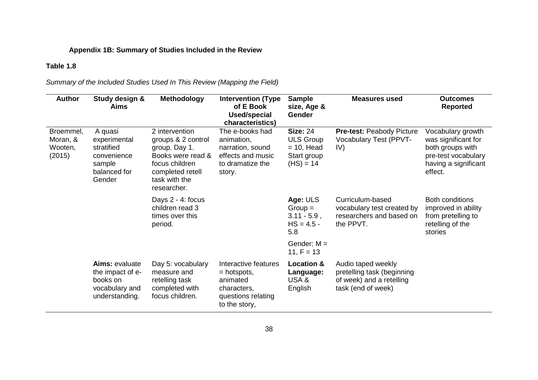# **Appendix 1B: Summary of Studies Included in the Review**

## **Table 1.8**

## *Summary of the Included Studies Used In This Review (Mapping the Field)*

| <b>Author</b>                              | Study design &<br><b>Aims</b>                                                             | Methodology                                                                                                                                      | <b>Intervention (Type</b><br>of E Book<br><b>Used/special</b><br>characteristics)                       | <b>Sample</b><br>size, Age &<br><b>Gender</b>                                      | <b>Measures used</b>                                                                               | <b>Outcomes</b><br><b>Reported</b>                                                                                     |
|--------------------------------------------|-------------------------------------------------------------------------------------------|--------------------------------------------------------------------------------------------------------------------------------------------------|---------------------------------------------------------------------------------------------------------|------------------------------------------------------------------------------------|----------------------------------------------------------------------------------------------------|------------------------------------------------------------------------------------------------------------------------|
| Broemmel,<br>Moran, &<br>Wooten,<br>(2015) | A quasi<br>experimental<br>stratified<br>convenience<br>sample<br>balanced for<br>Gender  | 2 intervention<br>groups & 2 control<br>group. Day 1.<br>Books were read &<br>focus children<br>completed retell<br>task with the<br>researcher. | The e-books had<br>animation,<br>narration, sound<br>effects and music<br>to dramatize the<br>story.    | <b>Size: 24</b><br><b>ULS Group</b><br>$= 10$ , Head<br>Start group<br>$(HS) = 14$ | <b>Pre-test: Peabody Picture</b><br><b>Vocabulary Test (PPVT-</b><br>IV)                           | Vocabulary growth<br>was significant for<br>both groups with<br>pre-test vocabulary<br>having a significant<br>effect. |
|                                            |                                                                                           | Days 2 - 4: focus<br>children read 3<br>times over this<br>period.                                                                               |                                                                                                         | Age: ULS<br>$Group =$<br>$3.11 - 5.9$ ,<br>$HS = 4.5 -$<br>5.8                     | Curriculum-based<br>vocabulary test created by<br>researchers and based on<br>the PPVT.            | <b>Both conditions</b><br>improved in ability<br>from pretelling to<br>retelling of the<br>stories                     |
|                                            |                                                                                           |                                                                                                                                                  |                                                                                                         | Gender: $M =$<br>$11, F = 13$                                                      |                                                                                                    |                                                                                                                        |
|                                            | <b>Aims: evaluate</b><br>the impact of e-<br>books on<br>vocabulary and<br>understanding. | Day 5: vocabulary<br>measure and<br>retelling task<br>completed with<br>focus children.                                                          | Interactive features<br>$=$ hotspots,<br>animated<br>characters,<br>questions relating<br>to the story, | <b>Location &amp;</b><br>Language:<br>USA&<br>English                              | Audio taped weekly<br>pretelling task (beginning<br>of week) and a retelling<br>task (end of week) |                                                                                                                        |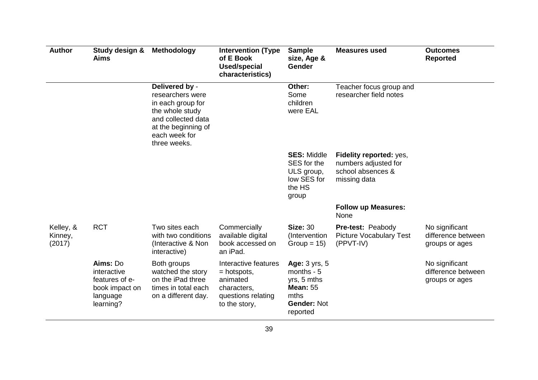| <b>Author</b>                  | Study design &<br>Aims                                                               | Methodology                                                                                                                                              | <b>Intervention (Type</b><br>of E Book<br><b>Used/special</b><br>characteristics)                       | <b>Sample</b><br>size, Age &<br><b>Gender</b>                                                             | <b>Measures used</b>                                                                 | <b>Outcomes</b><br><b>Reported</b>                     |
|--------------------------------|--------------------------------------------------------------------------------------|----------------------------------------------------------------------------------------------------------------------------------------------------------|---------------------------------------------------------------------------------------------------------|-----------------------------------------------------------------------------------------------------------|--------------------------------------------------------------------------------------|--------------------------------------------------------|
|                                |                                                                                      | Delivered by -<br>researchers were<br>in each group for<br>the whole study<br>and collected data<br>at the beginning of<br>each week for<br>three weeks. |                                                                                                         | Other:<br>Some<br>children<br>were EAL                                                                    | Teacher focus group and<br>researcher field notes                                    |                                                        |
|                                |                                                                                      |                                                                                                                                                          |                                                                                                         | <b>SES: Middle</b><br>SES for the<br>ULS group,<br>low SES for<br>the HS<br>group                         | Fidelity reported: yes,<br>numbers adjusted for<br>school absences &<br>missing data |                                                        |
|                                |                                                                                      |                                                                                                                                                          |                                                                                                         |                                                                                                           | <b>Follow up Measures:</b><br>None                                                   |                                                        |
| Kelley, &<br>Kinney,<br>(2017) | <b>RCT</b>                                                                           | Two sites each<br>with two conditions<br>(Interactive & Non<br>interactive)                                                                              | Commercially<br>available digital<br>book accessed on<br>an iPad.                                       | <b>Size: 30</b><br>(Intervention<br>Group = $15$ )                                                        | <b>Pre-test: Peabody</b><br><b>Picture Vocabulary Test</b><br>(PPVT-IV)              | No significant<br>difference between<br>groups or ages |
|                                | Aims: Do<br>interactive<br>features of e-<br>book impact on<br>language<br>learning? | Both groups<br>watched the story<br>on the iPad three<br>times in total each<br>on a different day.                                                      | Interactive features<br>$=$ hotspots,<br>animated<br>characters,<br>questions relating<br>to the story, | Age: 3 yrs, 5<br>months - $5$<br>yrs, 5 mths<br><b>Mean: 55</b><br>mths<br><b>Gender: Not</b><br>reported |                                                                                      | No significant<br>difference between<br>groups or ages |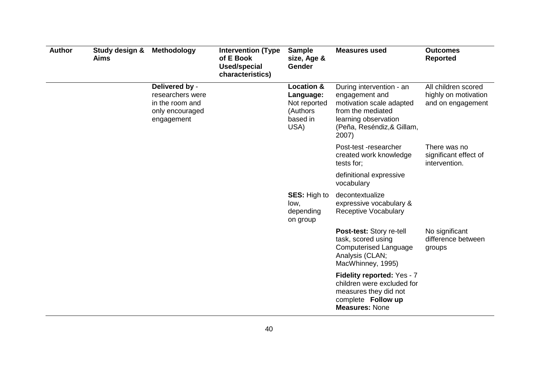| <b>Author</b> | Study design &<br><b>Aims</b> | Methodology                                                                            | <b>Intervention (Type</b><br>of E Book<br><b>Used/special</b><br>characteristics) | <b>Sample</b><br>size, Age &<br><b>Gender</b>                                      | <b>Measures used</b>                                                                                                                                       | <b>Outcomes</b><br><b>Reported</b>                               |
|---------------|-------------------------------|----------------------------------------------------------------------------------------|-----------------------------------------------------------------------------------|------------------------------------------------------------------------------------|------------------------------------------------------------------------------------------------------------------------------------------------------------|------------------------------------------------------------------|
|               |                               | Delivered by -<br>researchers were<br>in the room and<br>only encouraged<br>engagement |                                                                                   | <b>Location &amp;</b><br>Language:<br>Not reported<br>(Authors<br>based in<br>USA) | During intervention - an<br>engagement and<br>motivation scale adapted<br>from the mediated<br>learning observation<br>(Peña, Reséndiz, & Gillam,<br>2007) | All children scored<br>highly on motivation<br>and on engagement |
|               |                               |                                                                                        |                                                                                   |                                                                                    | Post-test-researcher<br>created work knowledge<br>tests for;                                                                                               | There was no<br>significant effect of<br>intervention.           |
|               |                               |                                                                                        |                                                                                   |                                                                                    | definitional expressive<br>vocabulary                                                                                                                      |                                                                  |
|               |                               |                                                                                        |                                                                                   | <b>SES:</b> High to<br>low,<br>depending<br>on group                               | decontextualize<br>expressive vocabulary &<br><b>Receptive Vocabulary</b>                                                                                  |                                                                  |
|               |                               |                                                                                        |                                                                                   |                                                                                    | Post-test: Story re-tell<br>task, scored using<br><b>Computerised Language</b><br>Analysis (CLAN;<br>MacWhinney, 1995)                                     | No significant<br>difference between<br>groups                   |
|               |                               |                                                                                        |                                                                                   |                                                                                    | Fidelity reported: Yes - 7<br>children were excluded for<br>measures they did not<br>complete Follow up<br><b>Measures: None</b>                           |                                                                  |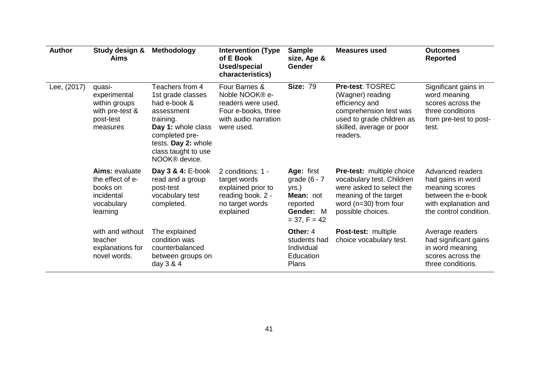| <b>Author</b> | Study design &<br>Aims                                                                 | Methodology                                                                                                                                                                                        | <b>Intervention (Type</b><br>of E Book<br>Used/special<br>characteristics)                                         | <b>Sample</b><br>size, Age &<br><b>Gender</b>                                                     | <b>Measures used</b>                                                                                                                                          | <b>Outcomes</b><br><b>Reported</b>                                                                                              |
|---------------|----------------------------------------------------------------------------------------|----------------------------------------------------------------------------------------------------------------------------------------------------------------------------------------------------|--------------------------------------------------------------------------------------------------------------------|---------------------------------------------------------------------------------------------------|---------------------------------------------------------------------------------------------------------------------------------------------------------------|---------------------------------------------------------------------------------------------------------------------------------|
| Lee, (2017)   | quasi-<br>experimental<br>within groups<br>with pre-test &<br>post-test<br>measures    | Teachers from 4<br>1st grade classes<br>had e-book &<br>assessment<br>training.<br>Day 1: whole class<br>completed pre-<br>tests. Day 2: whole<br>class taught to use<br>NOOK <sup>®</sup> device. | Four Barnes &<br>Noble NOOK® e-<br>readers were used.<br>Four e-books, three<br>with audio narration<br>were used. | <b>Size: 79</b>                                                                                   | Pre-test: TOSREC<br>(Wagner) reading<br>efficiency and<br>comprehension test was<br>used to grade children as<br>skilled, average or poor<br>readers.         | Significant gains in<br>word meaning<br>scores across the<br>three conditions<br>from pre-test to post-<br>test.                |
|               | Aims: evaluate<br>the effect of e-<br>books on<br>incidental<br>vocabulary<br>learning | Day 3 & 4: E-book<br>read and a group<br>post-test<br>vocabulary test<br>completed.                                                                                                                | 2 conditions: 1 -<br>target words<br>explained prior to<br>reading book. 2 -<br>no target words<br>explained       | Age: first<br>grade $(6 - 7)$<br>$V.S.$ )<br>Mean: not<br>reported<br>Gender: M<br>$= 37, F = 42$ | Pre-test: multiple choice<br>vocabulary test. Children<br>were asked to select the<br>meaning of the target<br>word ( $n=30$ ) from four<br>possible choices. | Advanced readers<br>had gains in word<br>meaning scores<br>between the e-book<br>with explanation and<br>the control condition. |
|               | with and without<br>teacher<br>explanations for<br>novel words.                        | The explained<br>condition was<br>counterbalanced<br>between groups on<br>day 3 & 4                                                                                                                |                                                                                                                    | Other: 4<br>students had<br>Individual<br>Education<br>Plans                                      | Post-test: multiple<br>choice vocabulary test.                                                                                                                | Average readers<br>had significant gains<br>in word meaning<br>scores across the<br>three conditions.                           |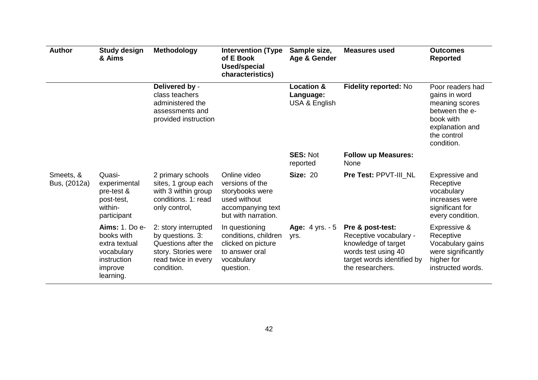| <b>Author</b>             | <b>Study design</b><br>& Aims                                                                             | <b>Methodology</b>                                                                                                          | <b>Intervention (Type</b><br>of E Book<br><b>Used/special</b><br>characteristics)                              | Sample size,<br>Age & Gender                        | <b>Measures used</b>                                                                                                                       | <b>Outcomes</b><br><b>Reported</b>                                                                                                 |
|---------------------------|-----------------------------------------------------------------------------------------------------------|-----------------------------------------------------------------------------------------------------------------------------|----------------------------------------------------------------------------------------------------------------|-----------------------------------------------------|--------------------------------------------------------------------------------------------------------------------------------------------|------------------------------------------------------------------------------------------------------------------------------------|
|                           |                                                                                                           | Delivered by -<br>class teachers<br>administered the<br>assessments and<br>provided instruction                             |                                                                                                                | <b>Location &amp;</b><br>Language:<br>USA & English | Fidelity reported: No                                                                                                                      | Poor readers had<br>gains in word<br>meaning scores<br>between the e-<br>book with<br>explanation and<br>the control<br>condition. |
|                           |                                                                                                           |                                                                                                                             |                                                                                                                | <b>SES: Not</b><br>reported                         | <b>Follow up Measures:</b><br>None                                                                                                         |                                                                                                                                    |
| Smeets, &<br>Bus, (2012a) | Quasi-<br>experimental<br>pre-test &<br>post-test,<br>within-<br>participant                              | 2 primary schools<br>sites, 1 group each<br>with 3 within group<br>conditions. 1: read<br>only control,                     | Online video<br>versions of the<br>storybooks were<br>used without<br>accompanying text<br>but with narration. | <b>Size: 20</b>                                     | Pre Test: PPVT-III NL                                                                                                                      | Expressive and<br>Receptive<br>vocabulary<br>increases were<br>significant for<br>every condition.                                 |
|                           | <b>Aims: 1. Do e-</b><br>books with<br>extra textual<br>vocabulary<br>instruction<br>improve<br>learning. | 2: story interrupted<br>by questions. 3:<br>Questions after the<br>story. Stories were<br>read twice in every<br>condition. | In questioning<br>conditions, children<br>clicked on picture<br>to answer oral<br>vocabulary<br>question.      | <b>Age:</b> 4 yrs. - 5<br>yrs.                      | Pre & post-test:<br>Receptive vocabulary -<br>knowledge of target<br>words test using 40<br>target words identified by<br>the researchers. | Expressive &<br>Receptive<br>Vocabulary gains<br>were significantly<br>higher for<br>instructed words.                             |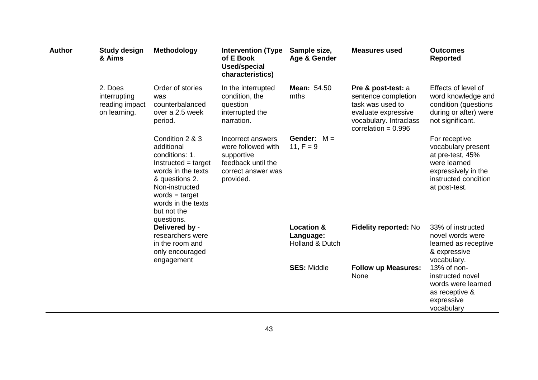| <b>Author</b> | <b>Study design</b><br>& Aims                             | Methodology                                                                                                                                                                                             | <b>Intervention (Type</b><br>of E Book<br>Used/special<br>characteristics)                                     | Sample size,<br>Age & Gender                                     | <b>Measures used</b>                                                                                                                    | <b>Outcomes</b><br><b>Reported</b>                                                                                                      |
|---------------|-----------------------------------------------------------|---------------------------------------------------------------------------------------------------------------------------------------------------------------------------------------------------------|----------------------------------------------------------------------------------------------------------------|------------------------------------------------------------------|-----------------------------------------------------------------------------------------------------------------------------------------|-----------------------------------------------------------------------------------------------------------------------------------------|
|               | 2. Does<br>interrupting<br>reading impact<br>on learning. | Order of stories<br>was<br>counterbalanced<br>over a 2.5 week<br>period.                                                                                                                                | In the interrupted<br>condition, the<br>question<br>interrupted the<br>narration.                              | <b>Mean: 54.50</b><br>mths                                       | Pre & post-test: a<br>sentence completion<br>task was used to<br>evaluate expressive<br>vocabulary. Intraclass<br>correlation = $0.996$ | Effects of level of<br>word knowledge and<br>condition (questions<br>during or after) were<br>not significant.                          |
|               |                                                           | Condition 2 & 3<br>additional<br>conditions: 1.<br>Instructed = target<br>words in the texts<br>& questions 2.<br>Non-instructed<br>words $=$ target<br>words in the texts<br>but not the<br>questions. | Incorrect answers<br>were followed with<br>supportive<br>feedback until the<br>correct answer was<br>provided. | Gender: $M =$<br>11, $F = 9$                                     |                                                                                                                                         | For receptive<br>vocabulary present<br>at pre-test, 45%<br>were learned<br>expressively in the<br>instructed condition<br>at post-test. |
|               |                                                           | Delivered by -<br>researchers were<br>in the room and<br>only encouraged<br>engagement                                                                                                                  |                                                                                                                | <b>Location &amp;</b><br>Language:<br><b>Holland &amp; Dutch</b> | Fidelity reported: No                                                                                                                   | 33% of instructed<br>novel words were<br>learned as receptive<br>& expressive<br>vocabulary.                                            |
|               |                                                           |                                                                                                                                                                                                         |                                                                                                                | <b>SES: Middle</b>                                               | <b>Follow up Measures:</b><br>None                                                                                                      | 13% of non-<br>instructed novel<br>words were learned<br>as receptive &<br>expressive<br>vocabulary                                     |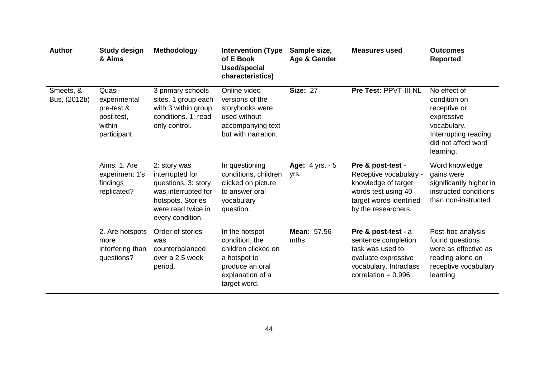| <b>Author</b>             | <b>Study design</b><br>& Aims                                                | <b>Methodology</b>                                                                                                                           | <b>Intervention (Type</b><br>of E Book<br><b>Used/special</b><br>characteristics)                                              | Sample size,<br>Age & Gender   | <b>Measures used</b>                                                                                                                        | <b>Outcomes</b><br><b>Reported</b>                                                                                                    |
|---------------------------|------------------------------------------------------------------------------|----------------------------------------------------------------------------------------------------------------------------------------------|--------------------------------------------------------------------------------------------------------------------------------|--------------------------------|---------------------------------------------------------------------------------------------------------------------------------------------|---------------------------------------------------------------------------------------------------------------------------------------|
| Smeets, &<br>Bus, (2012b) | Quasi-<br>experimental<br>pre-test &<br>post-test,<br>within-<br>participant | 3 primary schools<br>sites, 1 group each<br>with 3 within group<br>conditions. 1: read<br>only control.                                      | Online video<br>versions of the<br>storybooks were<br>used without<br>accompanying text<br>but with narration.                 | <b>Size: 27</b>                | Pre Test: PPVT-III-NL                                                                                                                       | No effect of<br>condition on<br>receptive or<br>expressive<br>vocabulary.<br>Interrupting reading<br>did not affect word<br>learning. |
|                           | Aims: 1. Are<br>experiment 1's<br>findings<br>replicated?                    | 2: story was<br>interrupted for<br>questions. 3: story<br>was interrupted for<br>hotspots. Stories<br>were read twice in<br>every condition. | In questioning<br>conditions, children<br>clicked on picture<br>to answer oral<br>vocabulary<br>question.                      | <b>Age:</b> 4 yrs. - 5<br>yrs. | Pre & post-test -<br>Receptive vocabulary -<br>knowledge of target<br>words test using 40<br>target words identified<br>by the researchers. | Word knowledge<br>gains were<br>significantly higher in<br>instructed conditions<br>than non-instructed.                              |
|                           | 2. Are hotspots<br>more<br>interfering than<br>questions?                    | Order of stories<br>was<br>counterbalanced<br>over a 2.5 week<br>period.                                                                     | In the hotspot<br>condition, the<br>children clicked on<br>a hotspot to<br>produce an oral<br>explanation of a<br>target word. | <b>Mean: 57.56</b><br>mths     | Pre & post-test - a<br>sentence completion<br>task was used to<br>evaluate expressive<br>vocabulary. Intraclass<br>correlation = $0.996$    | Post-hoc analysis<br>found questions<br>were as effective as<br>reading alone on<br>receptive vocabulary<br>learning                  |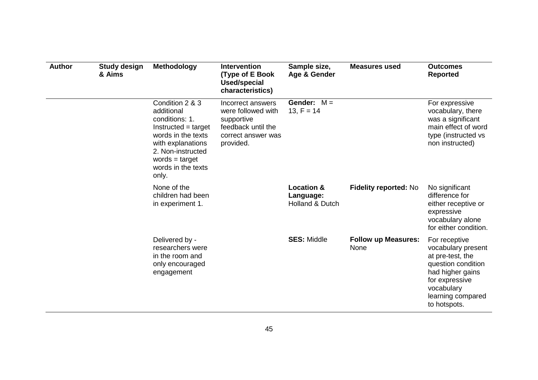| <b>Author</b> | <b>Study design</b><br>& Aims | Methodology                                                                                                                                                                                 | <b>Intervention</b><br>(Type of E Book<br><b>Used/special</b><br>characteristics)                              | Sample size,<br>Age & Gender                          | <b>Measures used</b>               | <b>Outcomes</b><br><b>Reported</b>                                                                                                                                     |
|---------------|-------------------------------|---------------------------------------------------------------------------------------------------------------------------------------------------------------------------------------------|----------------------------------------------------------------------------------------------------------------|-------------------------------------------------------|------------------------------------|------------------------------------------------------------------------------------------------------------------------------------------------------------------------|
|               |                               | Condition 2 & 3<br>additional<br>conditions: 1.<br>$Instructed = target$<br>words in the texts<br>with explanations<br>2. Non-instructed<br>words $=$ target<br>words in the texts<br>only. | Incorrect answers<br>were followed with<br>supportive<br>feedback until the<br>correct answer was<br>provided. | Gender: $M =$<br>$13, F = 14$                         |                                    | For expressive<br>vocabulary, there<br>was a significant<br>main effect of word<br>type (instructed vs<br>non instructed)                                              |
|               |                               | None of the<br>children had been<br>in experiment 1.                                                                                                                                        |                                                                                                                | <b>Location &amp;</b><br>Language:<br>Holland & Dutch | Fidelity reported: No              | No significant<br>difference for<br>either receptive or<br>expressive<br>vocabulary alone<br>for either condition.                                                     |
|               |                               | Delivered by -<br>researchers were<br>in the room and<br>only encouraged<br>engagement                                                                                                      |                                                                                                                | <b>SES: Middle</b>                                    | <b>Follow up Measures:</b><br>None | For receptive<br>vocabulary present<br>at pre-test, the<br>question condition<br>had higher gains<br>for expressive<br>vocabulary<br>learning compared<br>to hotspots. |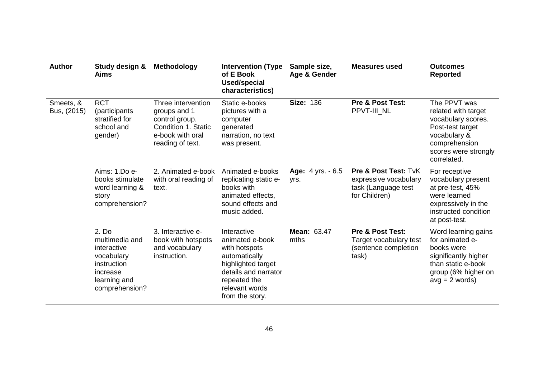| <b>Author</b>            | Study design &<br>Aims                                                                                            | Methodology                                                                                                         | <b>Intervention (Type</b><br>of E Book<br>Used/special<br>characteristics)                                                                                          | Sample size,<br>Age & Gender | <b>Measures used</b>                                                                   | <b>Outcomes</b><br><b>Reported</b>                                                                                                                    |
|--------------------------|-------------------------------------------------------------------------------------------------------------------|---------------------------------------------------------------------------------------------------------------------|---------------------------------------------------------------------------------------------------------------------------------------------------------------------|------------------------------|----------------------------------------------------------------------------------------|-------------------------------------------------------------------------------------------------------------------------------------------------------|
| Smeets, &<br>Bus, (2015) | <b>RCT</b><br>(participants<br>stratified for<br>school and<br>gender)                                            | Three intervention<br>groups and 1<br>control group.<br>Condition 1. Static<br>e-book with oral<br>reading of text. | Static e-books<br>pictures with a<br>computer<br>generated<br>narration, no text<br>was present.                                                                    | <b>Size: 136</b>             | <b>Pre &amp; Post Test:</b><br>PPVT-III_NL                                             | The PPVT was<br>related with target<br>vocabulary scores.<br>Post-test target<br>vocabulary &<br>comprehension<br>scores were strongly<br>correlated. |
|                          | Aims: 1.Do e-<br>books stimulate<br>word learning &<br>story<br>comprehension?                                    | 2. Animated e-book<br>with oral reading of<br>text.                                                                 | Animated e-books<br>replicating static e-<br>books with<br>animated effects.<br>sound effects and<br>music added.                                                   | Age: 4 yrs. - 6.5<br>yrs.    | Pre & Post Test: TvK<br>expressive vocabulary<br>task (Language test<br>for Children)  | For receptive<br>vocabulary present<br>at pre-test, 45%<br>were learned<br>expressively in the<br>instructed condition<br>at post-test.               |
|                          | 2. Do<br>multimedia and<br>interactive<br>vocabulary<br>instruction<br>increase<br>learning and<br>comprehension? | 3. Interactive e-<br>book with hotspots<br>and vocabulary<br>instruction.                                           | Interactive<br>animated e-book<br>with hotspots<br>automatically<br>highlighted target<br>details and narrator<br>repeated the<br>relevant words<br>from the story. | <b>Mean: 63.47</b><br>mths   | <b>Pre &amp; Post Test:</b><br>Target vocabulary test<br>(sentence completion<br>task) | Word learning gains<br>for animated e-<br>books were<br>significantly higher<br>than static e-book<br>group (6% higher on<br>$avg = 2 words)$         |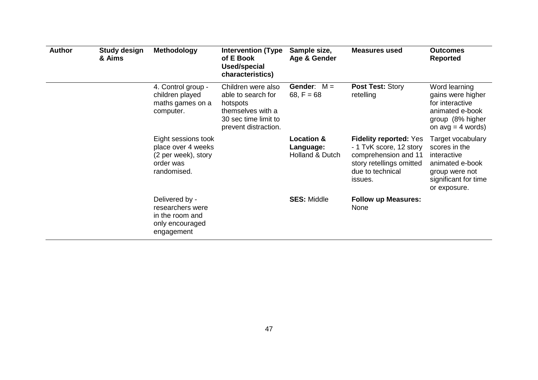| <b>Author</b> | Study design<br>& Aims | <b>Methodology</b>                                                                           | <b>Intervention (Type)</b><br>of E Book<br>Used/special<br>characteristics)                                               | Sample size,<br>Age & Gender                          | <b>Measures used</b>                                                                                                                        | <b>Outcomes</b><br><b>Reported</b>                                                                                             |
|---------------|------------------------|----------------------------------------------------------------------------------------------|---------------------------------------------------------------------------------------------------------------------------|-------------------------------------------------------|---------------------------------------------------------------------------------------------------------------------------------------------|--------------------------------------------------------------------------------------------------------------------------------|
|               |                        | 4. Control group -<br>children played<br>maths games on a<br>computer.                       | Children were also<br>able to search for<br>hotspots<br>themselves with a<br>30 sec time limit to<br>prevent distraction. | Gender: $M =$<br>68, $F = 68$                         | <b>Post Test: Story</b><br>retelling                                                                                                        | Word learning<br>gains were higher<br>for interactive<br>animated e-book<br>group (8% higher<br>on $avg = 4$ words)            |
|               |                        | Eight sessions took<br>place over 4 weeks<br>(2 per week), story<br>order was<br>randomised. |                                                                                                                           | <b>Location &amp;</b><br>Language:<br>Holland & Dutch | <b>Fidelity reported: Yes</b><br>- 1 TvK score, 12 story<br>comprehension and 11<br>story retellings omitted<br>due to technical<br>issues. | Target vocabulary<br>scores in the<br>interactive<br>animated e-book<br>group were not<br>significant for time<br>or exposure. |
|               |                        | Delivered by -<br>researchers were<br>in the room and<br>only encouraged<br>engagement       |                                                                                                                           | <b>SES: Middle</b>                                    | <b>Follow up Measures:</b><br>None                                                                                                          |                                                                                                                                |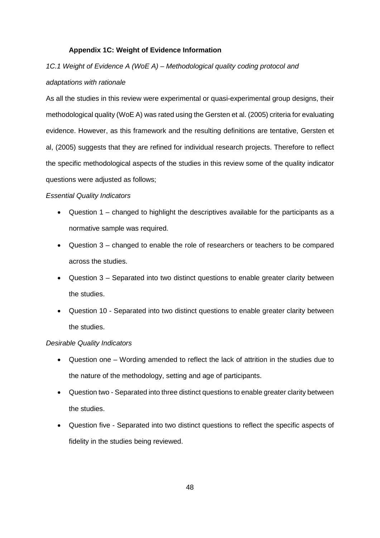#### **Appendix 1C: Weight of Evidence Information**

# *1C.1 Weight of Evidence A (WoE A) – Methodological quality coding protocol and adaptations with rationale*

As all the studies in this review were experimental or quasi-experimental group designs, their methodological quality (WoE A) was rated using the Gersten et al. (2005) criteria for evaluating evidence. However, as this framework and the resulting definitions are tentative, Gersten et al, (2005) suggests that they are refined for individual research projects. Therefore to reflect the specific methodological aspects of the studies in this review some of the quality indicator questions were adjusted as follows;

### *Essential Quality Indicators*

- Question 1 changed to highlight the descriptives available for the participants as a normative sample was required.
- Question 3 changed to enable the role of researchers or teachers to be compared across the studies.
- Question 3 Separated into two distinct questions to enable greater clarity between the studies.
- Question 10 Separated into two distinct questions to enable greater clarity between the studies.

### *Desirable Quality Indicators*

- Question one Wording amended to reflect the lack of attrition in the studies due to the nature of the methodology, setting and age of participants.
- Question two Separated into three distinct questions to enable greater clarity between the studies.
- Question five Separated into two distinct questions to reflect the specific aspects of fidelity in the studies being reviewed.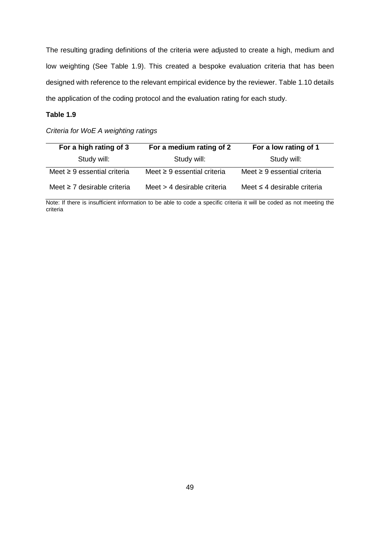The resulting grading definitions of the criteria were adjusted to create a high, medium and low weighting (See Table 1.9). This created a bespoke evaluation criteria that has been designed with reference to the relevant empirical evidence by the reviewer. Table 1.10 details the application of the coding protocol and the evaluation rating for each study.

### **Table 1.9**

|  | Criteria for WoE A weighting ratings |  |
|--|--------------------------------------|--|
|  |                                      |  |

| For a high rating of 3           | For a medium rating of 2         | For a low rating of 1            |  |  |
|----------------------------------|----------------------------------|----------------------------------|--|--|
| Study will:                      | Study will:                      | Study will:                      |  |  |
| Meet $\geq 9$ essential criteria | Meet $\geq 9$ essential criteria | Meet $\geq 9$ essential criteria |  |  |
| Meet $\geq 7$ desirable criteria | Meet > 4 desirable criteria      | Meet $\leq$ 4 desirable criteria |  |  |

Note: If there is insufficient information to be able to code a specific criteria it will be coded as not meeting the criteria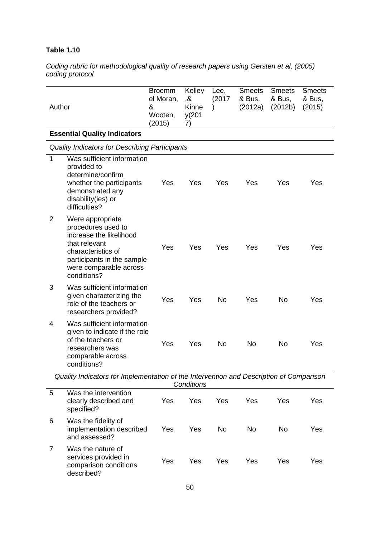## **Table 1.10**

*Coding rubric for methodological quality of research papers using Gersten et al, (2005) coding protocol*

| Author |                                                                                                                                                                                                                | <b>Broemm</b><br>el Moran,<br>&<br>Wooten,<br>(2015) | Kelley<br>,&<br>Kinne<br>y(201)<br>$\left( 7\right)$ | Lee,<br>(2017) | <b>Smeets</b><br>& Bus,<br>(2012a) | <b>Smeets</b><br>& Bus,<br>(2012b) | <b>Smeets</b><br>& Bus,<br>(2015) |
|--------|----------------------------------------------------------------------------------------------------------------------------------------------------------------------------------------------------------------|------------------------------------------------------|------------------------------------------------------|----------------|------------------------------------|------------------------------------|-----------------------------------|
|        | <b>Essential Quality Indicators</b>                                                                                                                                                                            |                                                      |                                                      |                |                                    |                                    |                                   |
| 1      | <b>Quality Indicators for Describing Participants</b><br>Was sufficient information<br>provided to<br>determine/confirm<br>whether the participants<br>demonstrated any<br>disability(ies) or<br>difficulties? | Yes                                                  | Yes                                                  | Yes            | Yes                                | Yes                                | Yes                               |
| 2      | Were appropriate<br>procedures used to<br>increase the likelihood<br>that relevant<br>characteristics of<br>participants in the sample<br>were comparable across<br>conditions?                                | Yes                                                  | Yes                                                  | Yes            | Yes                                | Yes                                | Yes                               |
| 3      | Was sufficient information<br>given characterizing the<br>role of the teachers or<br>researchers provided?                                                                                                     | Yes                                                  | Yes                                                  | <b>No</b>      | Yes                                | <b>No</b>                          | Yes                               |
| 4      | Was sufficient information<br>given to indicate if the role<br>of the teachers or<br>researchers was<br>comparable across<br>conditions?                                                                       | Yes                                                  | Yes                                                  | <b>No</b>      | <b>No</b>                          | <b>No</b>                          | Yes                               |
|        | Quality Indicators for Implementation of the Intervention and Description of Comparison                                                                                                                        |                                                      | <b>Conditions</b>                                    |                |                                    |                                    |                                   |
| 5      | Was the intervention<br>clearly described and<br>specified?                                                                                                                                                    | Yes                                                  | Yes                                                  | Yes            | Yes                                | Yes                                | Yes                               |
| 6      | Was the fidelity of<br>implementation described<br>and assessed?                                                                                                                                               | Yes                                                  | Yes                                                  | <b>No</b>      | No.                                | <b>No</b>                          | Yes                               |
| 7      | Was the nature of<br>services provided in<br>comparison conditions<br>described?                                                                                                                               | Yes                                                  | Yes                                                  | Yes            | Yes                                | Yes                                | Yes                               |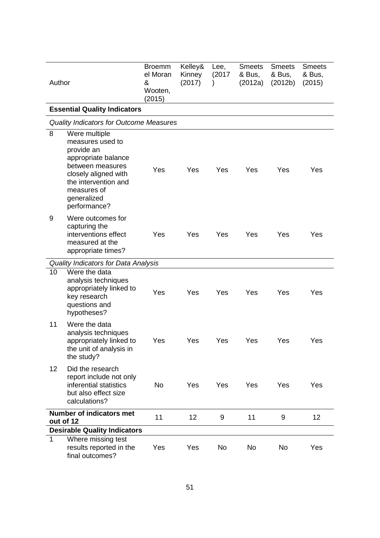| Author                                       |                                                                                                                                                                                          | <b>Broemm</b><br>el Moran<br>&<br>Wooten,<br>(2015) | Kelley&<br>Kinney<br>(2017) | Lee,<br>(2017)<br>$\mathcal{E}$ | <b>Smeets</b><br>& Bus,<br>(2012a) | <b>Smeets</b><br>& Bus,<br>(2012b) | <b>Smeets</b><br>& Bus,<br>(2015) |  |  |
|----------------------------------------------|------------------------------------------------------------------------------------------------------------------------------------------------------------------------------------------|-----------------------------------------------------|-----------------------------|---------------------------------|------------------------------------|------------------------------------|-----------------------------------|--|--|
|                                              | <b>Essential Quality Indicators</b>                                                                                                                                                      |                                                     |                             |                                 |                                    |                                    |                                   |  |  |
|                                              | <b>Quality Indicators for Outcome Measures</b>                                                                                                                                           |                                                     |                             |                                 |                                    |                                    |                                   |  |  |
| 8                                            | Were multiple<br>measures used to<br>provide an<br>appropriate balance<br>between measures<br>closely aligned with<br>the intervention and<br>measures of<br>generalized<br>performance? | Yes                                                 | Yes                         | Yes                             | Yes                                | Yes                                | Yes                               |  |  |
| 9                                            | Were outcomes for<br>capturing the<br>interventions effect<br>measured at the<br>appropriate times?                                                                                      | Yes                                                 | Yes                         | Yes                             | Yes                                | Yes                                | Yes                               |  |  |
|                                              | Quality Indicators for Data Analysis                                                                                                                                                     |                                                     |                             |                                 |                                    |                                    |                                   |  |  |
| 10                                           | Were the data<br>analysis techniques<br>appropriately linked to<br>key research<br>questions and<br>hypotheses?                                                                          | Yes                                                 | Yes                         | Yes                             | Yes                                | Yes                                | Yes                               |  |  |
| 11                                           | Were the data<br>analysis techniques<br>appropriately linked to<br>the unit of analysis in<br>the study?                                                                                 | Yes                                                 | Yes                         | Yes                             | Yes                                | Yes                                | Yes                               |  |  |
| 12                                           | Did the research<br>report include not only<br>inferential statistics<br>but also effect size<br>calculations?                                                                           | <b>No</b>                                           | Yes                         | Yes                             | Yes                                | Yes                                | Yes                               |  |  |
| <b>Number of indicators met</b><br>out of 12 |                                                                                                                                                                                          | 11                                                  | 12                          | 9                               | 11                                 | 9                                  | 12                                |  |  |
|                                              | <b>Desirable Quality Indicators</b>                                                                                                                                                      |                                                     |                             |                                 |                                    |                                    |                                   |  |  |
| $\mathbf 1$                                  | Where missing test<br>results reported in the<br>final outcomes?                                                                                                                         | Yes                                                 | Yes                         | No                              | No                                 | No                                 | Yes                               |  |  |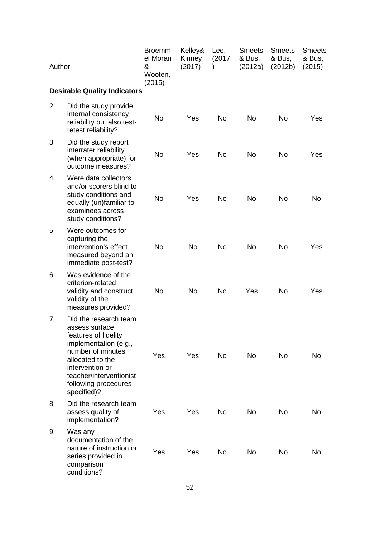| Author         |                                                                                                                                                                                                                        | <b>Broemm</b><br>el Moran<br>&<br>Wooten,<br>(2015) | Kelley&<br>Kinney<br>(2017) | Lee,<br>(2017) | <b>Smeets</b><br>& Bus,<br>(2012a) | <b>Smeets</b><br>& Bus,<br>(2012b) | <b>Smeets</b><br>& Bus,<br>(2015) |
|----------------|------------------------------------------------------------------------------------------------------------------------------------------------------------------------------------------------------------------------|-----------------------------------------------------|-----------------------------|----------------|------------------------------------|------------------------------------|-----------------------------------|
|                | <b>Desirable Quality Indicators</b>                                                                                                                                                                                    |                                                     |                             |                |                                    |                                    |                                   |
| $\overline{2}$ | Did the study provide<br>internal consistency<br>reliability but also test-<br>retest reliability?                                                                                                                     | <b>No</b>                                           | Yes                         | No             | No                                 | No                                 | Yes                               |
| 3              | Did the study report<br>interrater reliability<br>(when appropriate) for<br>outcome measures?                                                                                                                          | <b>No</b>                                           | Yes                         | <b>No</b>      | <b>No</b>                          | <b>No</b>                          | Yes                               |
| 4              | Were data collectors<br>and/or scorers blind to<br>study conditions and<br>equally (un)familiar to<br>examinees across<br>study conditions?                                                                            | <b>No</b>                                           | Yes                         | <b>No</b>      | <b>No</b>                          | <b>No</b>                          | <b>No</b>                         |
| 5              | Were outcomes for<br>capturing the<br>intervention's effect<br>measured beyond an<br>immediate post-test?                                                                                                              | <b>No</b>                                           | <b>No</b>                   | No             | No                                 | No                                 | Yes                               |
| 6              | Was evidence of the<br>criterion-related<br>validity and construct<br>validity of the<br>measures provided?                                                                                                            | <b>No</b>                                           | <b>No</b>                   | <b>No</b>      | Yes                                | <b>No</b>                          | Yes                               |
| $\overline{7}$ | Did the research team<br>assess surface<br>features of fidelity<br>implementation (e.g.,<br>number of minutes<br>allocated to the<br>intervention or<br>teacher/interventionist<br>following procedures<br>specified)? | Yes                                                 | Yes                         | <b>No</b>      | No                                 | <b>No</b>                          | <b>No</b>                         |
| 8              | Did the research team<br>assess quality of<br>implementation?                                                                                                                                                          | Yes                                                 | Yes                         | No             | No                                 | No                                 | No                                |
| 9              | Was any<br>documentation of the<br>nature of instruction or<br>series provided in<br>comparison<br>conditions?                                                                                                         | Yes                                                 | Yes                         | <b>No</b>      | <b>No</b>                          | No                                 | No                                |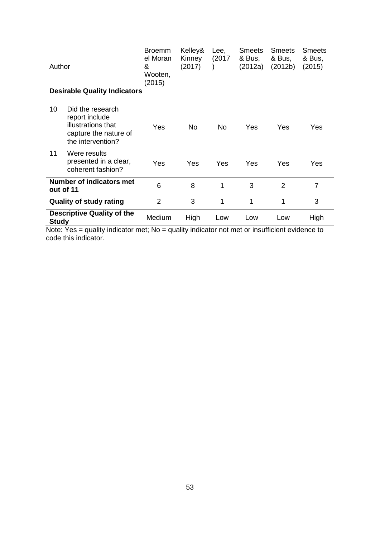| Author                         |                                                                                                        | <b>Broemm</b><br>el Moran<br>&<br>Wooten,<br>(2015) | Kelley&<br>Kinney<br>(2017) | Lee,<br>(2017) | <b>Smeets</b><br>& Bus,<br>(2012a) | <b>Smeets</b><br>& Bus,<br>(2012b) | <b>Smeets</b><br>& Bus,<br>(2015) |
|--------------------------------|--------------------------------------------------------------------------------------------------------|-----------------------------------------------------|-----------------------------|----------------|------------------------------------|------------------------------------|-----------------------------------|
|                                | <b>Desirable Quality Indicators</b>                                                                    |                                                     |                             |                |                                    |                                    |                                   |
| 10                             | Did the research<br>report include<br>illustrations that<br>capture the nature of<br>the intervention? | Yes                                                 | No.                         | No.            | Yes                                | Yes                                | Yes                               |
| 11                             | Were results<br>presented in a clear,<br>coherent fashion?                                             | Yes                                                 | Yes                         | Yes            | Yes                                | Yes                                | Yes                               |
|                                | <b>Number of indicators met</b><br>out of 11                                                           | 6                                                   | 8                           | 1              | 3                                  | 2                                  | 7                                 |
| <b>Quality of study rating</b> |                                                                                                        | $\overline{2}$                                      | 3                           | 1              | 1                                  | 1                                  | 3                                 |
| <b>Study</b>                   | <b>Descriptive Quality of the</b>                                                                      | Medium                                              | High                        | Low            | Low                                | Low                                | High                              |

Note: Yes = quality indicator met; No = quality indicator not met or insufficient evidence to code this indicator.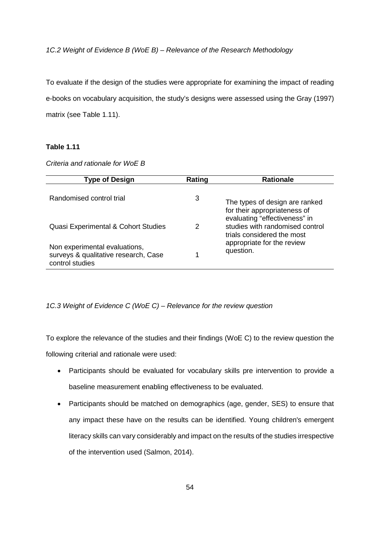#### *1C.2 Weight of Evidence B (WoE B) – Relevance of the Research Methodology*

To evaluate if the design of the studies were appropriate for examining the impact of reading e-books on vocabulary acquisition, the study's designs were assessed using the Gray (1997) matrix (see Table 1.11).

### **Table 1.11**

*Criteria and rationale for WoE B*

| <b>Type of Design</b>                                                                    | Rating | <b>Rationale</b>                                                                                |
|------------------------------------------------------------------------------------------|--------|-------------------------------------------------------------------------------------------------|
| Randomised control trial                                                                 | 3      | The types of design are ranked<br>for their appropriateness of<br>evaluating "effectiveness" in |
| Quasi Experimental & Cohort Studies                                                      | 2      | studies with randomised control<br>trials considered the most                                   |
| Non experimental evaluations,<br>surveys & qualitative research, Case<br>control studies |        | appropriate for the review<br>question.                                                         |

### *1C.3 Weight of Evidence C (WoE C) – Relevance for the review question*

To explore the relevance of the studies and their findings (WoE C) to the review question the following criterial and rationale were used:

- Participants should be evaluated for vocabulary skills pre intervention to provide a baseline measurement enabling effectiveness to be evaluated.
- Participants should be matched on demographics (age, gender, SES) to ensure that any impact these have on the results can be identified. Young children's emergent literacy skills can vary considerably and impact on the results of the studies irrespective of the intervention used (Salmon, 2014).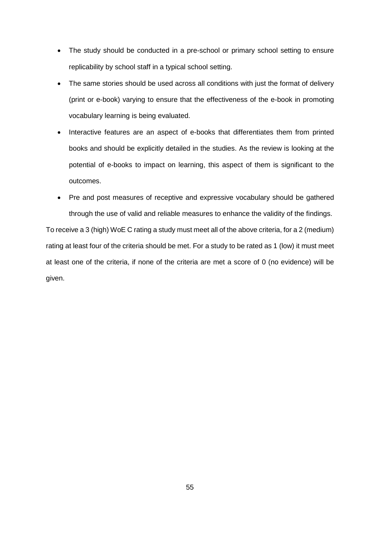- The study should be conducted in a pre-school or primary school setting to ensure replicability by school staff in a typical school setting.
- The same stories should be used across all conditions with just the format of delivery (print or e-book) varying to ensure that the effectiveness of the e-book in promoting vocabulary learning is being evaluated.
- Interactive features are an aspect of e-books that differentiates them from printed books and should be explicitly detailed in the studies. As the review is looking at the potential of e-books to impact on learning, this aspect of them is significant to the outcomes.
- Pre and post measures of receptive and expressive vocabulary should be gathered through the use of valid and reliable measures to enhance the validity of the findings.

To receive a 3 (high) WoE C rating a study must meet all of the above criteria, for a 2 (medium) rating at least four of the criteria should be met. For a study to be rated as 1 (low) it must meet at least one of the criteria, if none of the criteria are met a score of 0 (no evidence) will be given.